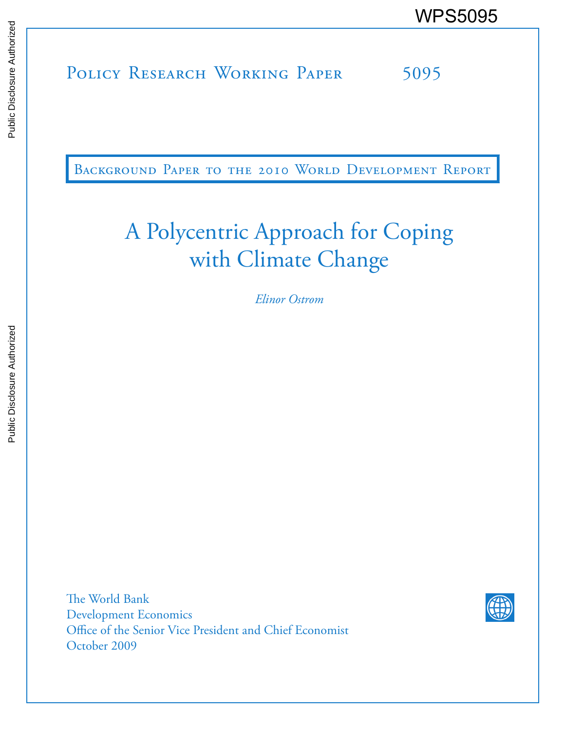# POLICY RESEARCH WORKING PAPER 5095 WPS5095<br>
Media<br>
Media<br>
Policy Research Working Paper 5095<br>
Sales<br>
Paper 5095

BACKGROUND PAPER TO THE 2010 WORLD DEVELOPMENT REPORT

# A Polycentric Approach for Coping with Climate Change

*Elinor Ostrom*

The World Bank Development Economics Office of the Senior Vice President and Chief Economist October 2009

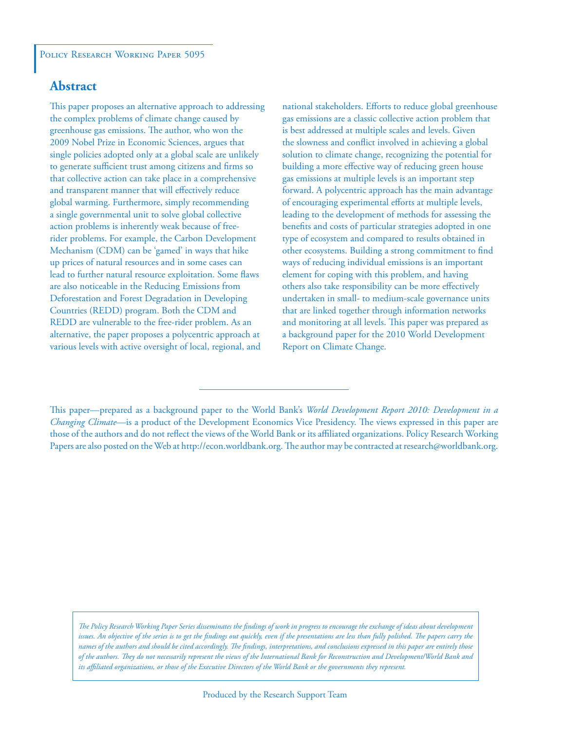#### **Abstract**

This paper proposes an alternative approach to addressing the complex problems of climate change caused by greenhouse gas emissions. The author, who won the 2009 Nobel Prize in Economic Sciences, argues that single policies adopted only at a global scale are unlikely to generate sufficient trust among citizens and firms so that collective action can take place in a comprehensive and transparent manner that will effectively reduce global warming. Furthermore, simply recommending a single governmental unit to solve global collective action problems is inherently weak because of freerider problems. For example, the Carbon Development Mechanism (CDM) can be 'gamed' in ways that hike up prices of natural resources and in some cases can lead to further natural resource exploitation. Some flaws are also noticeable in the Reducing Emissions from Deforestation and Forest Degradation in Developing Countries (REDD) program. Both the CDM and REDD are vulnerable to the free-rider problem. As an alternative, the paper proposes a polycentric approach at various levels with active oversight of local, regional, and

national stakeholders. Efforts to reduce global greenhouse gas emissions are a classic collective action problem that is best addressed at multiple scales and levels. Given the slowness and conflict involved in achieving a global solution to climate change, recognizing the potential for building a more effective way of reducing green house gas emissions at multiple levels is an important step forward. A polycentric approach has the main advantage of encouraging experimental efforts at multiple levels, leading to the development of methods for assessing the benefits and costs of particular strategies adopted in one type of ecosystem and compared to results obtained in other ecosystems. Building a strong commitment to find ways of reducing individual emissions is an important element for coping with this problem, and having others also take responsibility can be more effectively undertaken in small- to medium-scale governance units that are linked together through information networks and monitoring at all levels. This paper was prepared as a background paper for the 2010 World Development Report on Climate Change.

*The Policy Research Working Paper Series disseminates the findings of work in progress to encourage the exchange of ideas about development*  issues. An objective of the series is to get the findings out quickly, even if the presentations are less than fully polished. The papers carry the *names of the authors and should be cited accordingly. The findings, interpretations, and conclusions expressed in this paper are entirely those of the authors. They do not necessarily represent the views of the International Bank for Reconstruction and Development/World Bank and its affiliated organizations, or those of the Executive Directors of the World Bank or the governments they represent.*

This paper—prepared as a background paper to the World Bank's *World Development Report 2010: Development in a Changing Climate*—is a product of the Development Economics Vice Presidency. The views expressed in this paper are those of the authors and do not reflect the views of the World Bank or its affiliated organizations. Policy Research Working Papers are also posted on the Web at http://econ.worldbank.org. The author may be contracted at research@worldbank.org.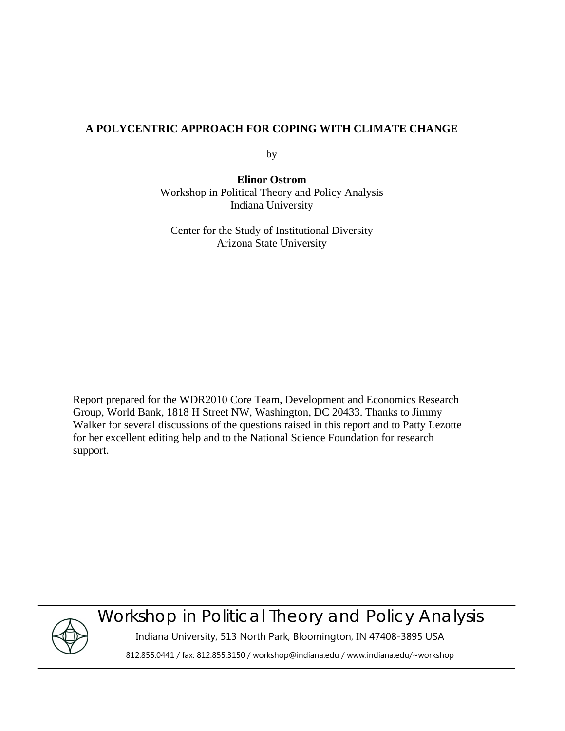#### **A POLYCENTRIC APPROACH FOR COPING WITH CLIMATE CHANGE**

by

**Elinor Ostrom**  Workshop in Political Theory and Policy Analysis Indiana University

Center for the Study of Institutional Diversity Arizona State University

Report prepared for the WDR2010 Core Team, Development and Economics Research Group, World Bank, 1818 H Street NW, Washington, DC 20433. Thanks to Jimmy Walker for several discussions of the questions raised in this report and to Patty Lezotte for her excellent editing help and to the National Science Foundation for research support.



Workshop in Political Theory and Policy Analysis

Indiana University, 513 North Park, Bloomington, IN 47408-3895 USA

812.855.0441 / fax: 812.855.3150 / workshop@indiana.edu / www.indiana.edu/~workshop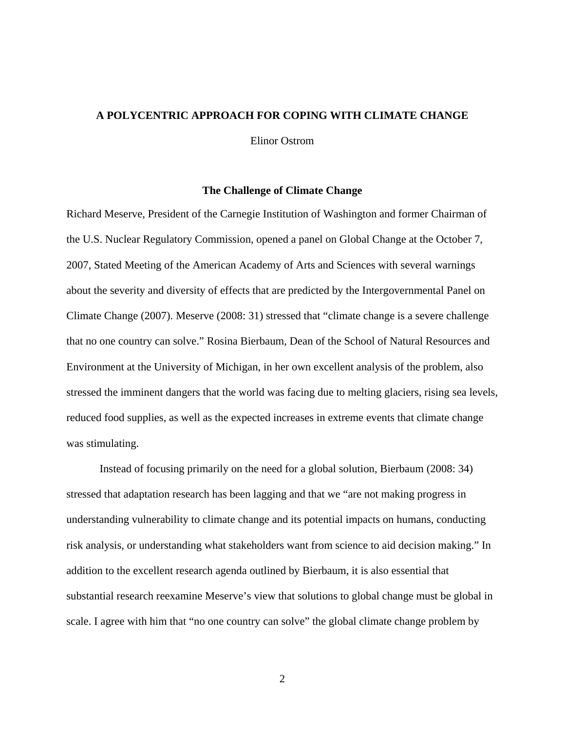#### **A POLYCENTRIC APPROACH FOR COPING WITH CLIMATE CHANGE**

Elinor Ostrom

#### **The Challenge of Climate Change**

Richard Meserve, President of the Carnegie Institution of Washington and former Chairman of the U.S. Nuclear Regulatory Commission, opened a panel on Global Change at the October 7, 2007, Stated Meeting of the American Academy of Arts and Sciences with several warnings about the severity and diversity of effects that are predicted by the Intergovernmental Panel on Climate Change (2007). Meserve (2008: 31) stressed that "climate change is a severe challenge that no one country can solve." Rosina Bierbaum, Dean of the School of Natural Resources and Environment at the University of Michigan, in her own excellent analysis of the problem, also stressed the imminent dangers that the world was facing due to melting glaciers, rising sea levels, reduced food supplies, as well as the expected increases in extreme events that climate change was stimulating.

Instead of focusing primarily on the need for a global solution, Bierbaum (2008: 34) stressed that adaptation research has been lagging and that we "are not making progress in understanding vulnerability to climate change and its potential impacts on humans, conducting risk analysis, or understanding what stakeholders want from science to aid decision making." In addition to the excellent research agenda outlined by Bierbaum, it is also essential that substantial research reexamine Meserve's view that solutions to global change must be global in scale. I agree with him that "no one country can solve" the global climate change problem by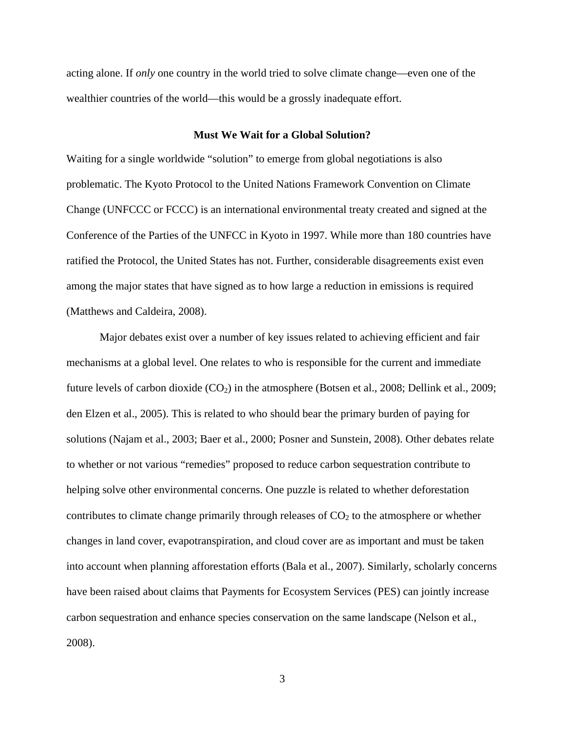acting alone. If *only* one country in the world tried to solve climate change—even one of the wealthier countries of the world—this would be a grossly inadequate effort.

#### **Must We Wait for a Global Solution?**

Waiting for a single worldwide "solution" to emerge from global negotiations is also problematic. The Kyoto Protocol to the United Nations Framework Convention on Climate Change (UNFCCC or FCCC) is an international environmental treaty created and signed at the Conference of the Parties of the UNFCC in Kyoto in 1997. While more than 180 countries have ratified the Protocol, the United States has not. Further, considerable disagreements exist even among the major states that have signed as to how large a reduction in emissions is required (Matthews and Caldeira, 2008).

Major debates exist over a number of key issues related to achieving efficient and fair mechanisms at a global level. One relates to who is responsible for the current and immediate future levels of carbon dioxide  $(CO<sub>2</sub>)$  in the atmosphere (Botsen et al., 2008; Dellink et al., 2009; den Elzen et al., 2005). This is related to who should bear the primary burden of paying for solutions (Najam et al., 2003; Baer et al., 2000; Posner and Sunstein, 2008). Other debates relate to whether or not various "remedies" proposed to reduce carbon sequestration contribute to helping solve other environmental concerns. One puzzle is related to whether deforestation contributes to climate change primarily through releases of  $CO<sub>2</sub>$  to the atmosphere or whether changes in land cover, evapotranspiration, and cloud cover are as important and must be taken into account when planning afforestation efforts (Bala et al., 2007). Similarly, scholarly concerns have been raised about claims that Payments for Ecosystem Services (PES) can jointly increase carbon sequestration and enhance species conservation on the same landscape (Nelson et al., 2008).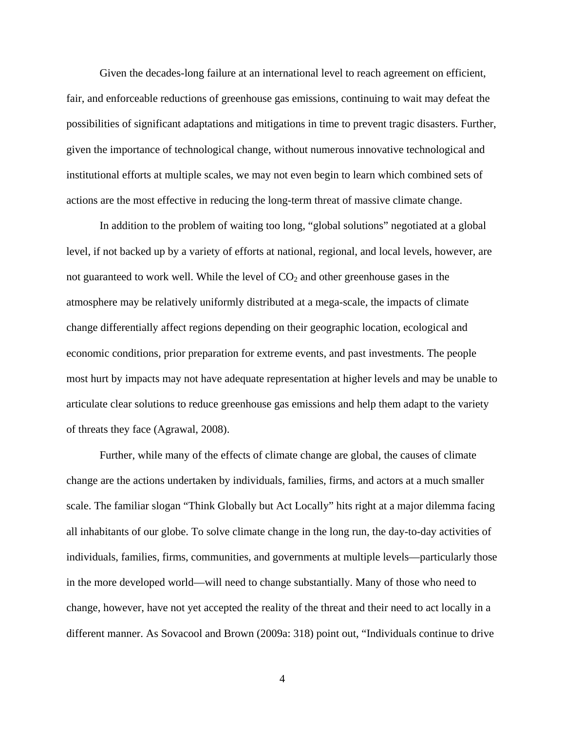Given the decades-long failure at an international level to reach agreement on efficient, fair, and enforceable reductions of greenhouse gas emissions, continuing to wait may defeat the possibilities of significant adaptations and mitigations in time to prevent tragic disasters. Further, given the importance of technological change, without numerous innovative technological and institutional efforts at multiple scales, we may not even begin to learn which combined sets of actions are the most effective in reducing the long-term threat of massive climate change.

In addition to the problem of waiting too long, "global solutions" negotiated at a global level, if not backed up by a variety of efforts at national, regional, and local levels, however, are not guaranteed to work well. While the level of  $CO<sub>2</sub>$  and other greenhouse gases in the atmosphere may be relatively uniformly distributed at a mega-scale, the impacts of climate change differentially affect regions depending on their geographic location, ecological and economic conditions, prior preparation for extreme events, and past investments. The people most hurt by impacts may not have adequate representation at higher levels and may be unable to articulate clear solutions to reduce greenhouse gas emissions and help them adapt to the variety of threats they face (Agrawal, 2008).

Further, while many of the effects of climate change are global, the causes of climate change are the actions undertaken by individuals, families, firms, and actors at a much smaller scale. The familiar slogan "Think Globally but Act Locally" hits right at a major dilemma facing all inhabitants of our globe. To solve climate change in the long run, the day-to-day activities of individuals, families, firms, communities, and governments at multiple levels—particularly those in the more developed world—will need to change substantially. Many of those who need to change, however, have not yet accepted the reality of the threat and their need to act locally in a different manner. As Sovacool and Brown (2009a: 318) point out, "Individuals continue to drive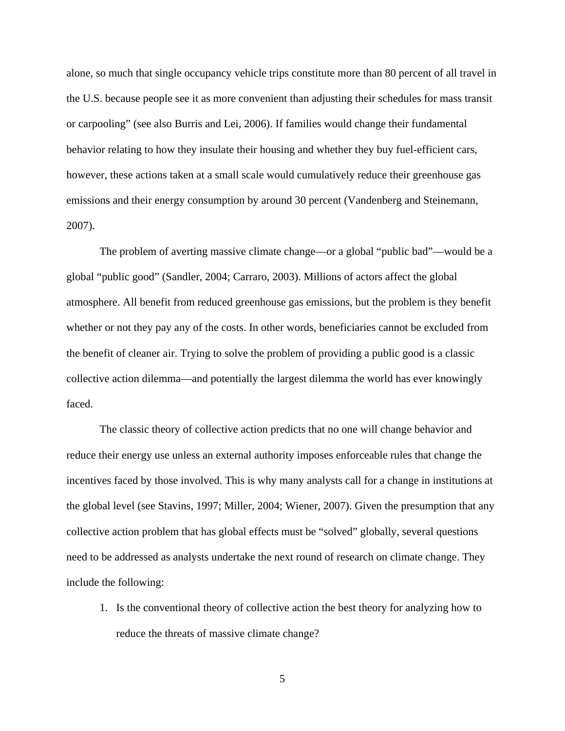alone, so much that single occupancy vehicle trips constitute more than 80 percent of all travel in the U.S. because people see it as more convenient than adjusting their schedules for mass transit or carpooling" (see also Burris and Lei, 2006). If families would change their fundamental behavior relating to how they insulate their housing and whether they buy fuel-efficient cars, however, these actions taken at a small scale would cumulatively reduce their greenhouse gas emissions and their energy consumption by around 30 percent (Vandenberg and Steinemann, 2007).

The problem of averting massive climate change—or a global "public bad"—would be a global "public good" (Sandler, 2004; Carraro, 2003). Millions of actors affect the global atmosphere. All benefit from reduced greenhouse gas emissions, but the problem is they benefit whether or not they pay any of the costs. In other words, beneficiaries cannot be excluded from the benefit of cleaner air. Trying to solve the problem of providing a public good is a classic collective action dilemma—and potentially the largest dilemma the world has ever knowingly faced.

The classic theory of collective action predicts that no one will change behavior and reduce their energy use unless an external authority imposes enforceable rules that change the incentives faced by those involved. This is why many analysts call for a change in institutions at the global level (see Stavins, 1997; Miller, 2004; Wiener, 2007). Given the presumption that any collective action problem that has global effects must be "solved" globally, several questions need to be addressed as analysts undertake the next round of research on climate change. They include the following:

1. Is the conventional theory of collective action the best theory for analyzing how to reduce the threats of massive climate change?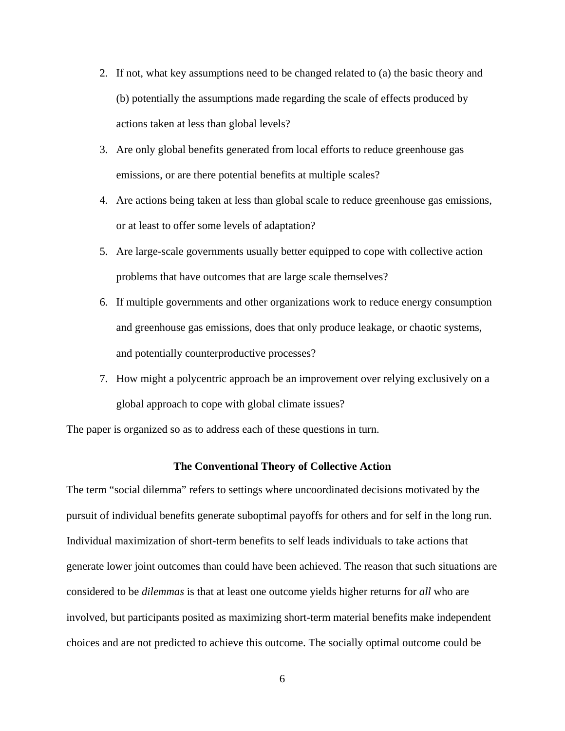- 2. If not, what key assumptions need to be changed related to (a) the basic theory and (b) potentially the assumptions made regarding the scale of effects produced by actions taken at less than global levels?
- 3. Are only global benefits generated from local efforts to reduce greenhouse gas emissions, or are there potential benefits at multiple scales?
- 4. Are actions being taken at less than global scale to reduce greenhouse gas emissions, or at least to offer some levels of adaptation?
- 5. Are large-scale governments usually better equipped to cope with collective action problems that have outcomes that are large scale themselves?
- 6. If multiple governments and other organizations work to reduce energy consumption and greenhouse gas emissions, does that only produce leakage, or chaotic systems, and potentially counterproductive processes?
- 7. How might a polycentric approach be an improvement over relying exclusively on a global approach to cope with global climate issues?

The paper is organized so as to address each of these questions in turn.

#### **The Conventional Theory of Collective Action**

The term "social dilemma" refers to settings where uncoordinated decisions motivated by the pursuit of individual benefits generate suboptimal payoffs for others and for self in the long run. Individual maximization of short-term benefits to self leads individuals to take actions that generate lower joint outcomes than could have been achieved. The reason that such situations are considered to be *dilemmas* is that at least one outcome yields higher returns for *all* who are involved, but participants posited as maximizing short-term material benefits make independent choices and are not predicted to achieve this outcome. The socially optimal outcome could be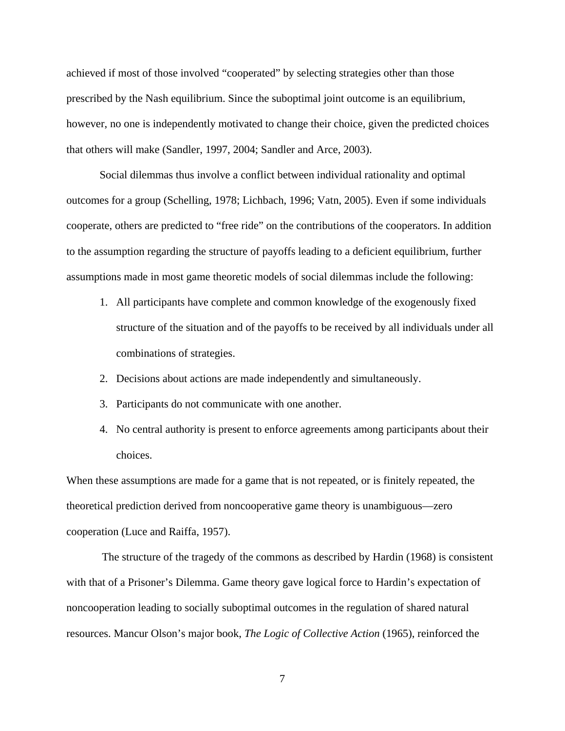achieved if most of those involved "cooperated" by selecting strategies other than those prescribed by the Nash equilibrium. Since the suboptimal joint outcome is an equilibrium, however, no one is independently motivated to change their choice, given the predicted choices that others will make (Sandler, 1997, 2004; Sandler and Arce, 2003).

Social dilemmas thus involve a conflict between individual rationality and optimal outcomes for a group (Schelling, 1978; Lichbach, 1996; Vatn, 2005). Even if some individuals cooperate, others are predicted to "free ride" on the contributions of the cooperators. In addition to the assumption regarding the structure of payoffs leading to a deficient equilibrium, further assumptions made in most game theoretic models of social dilemmas include the following:

- 1. All participants have complete and common knowledge of the exogenously fixed structure of the situation and of the payoffs to be received by all individuals under all combinations of strategies.
- 2. Decisions about actions are made independently and simultaneously.
- 3. Participants do not communicate with one another.
- 4. No central authority is present to enforce agreements among participants about their choices.

When these assumptions are made for a game that is not repeated, or is finitely repeated, the theoretical prediction derived from noncooperative game theory is unambiguous—zero cooperation (Luce and Raiffa, 1957).

The structure of the tragedy of the commons as described by Hardin (1968) is consistent with that of a Prisoner's Dilemma. Game theory gave logical force to Hardin's expectation of noncooperation leading to socially suboptimal outcomes in the regulation of shared natural resources. Mancur Olson's major book, *The Logic of Collective Action* (1965), reinforced the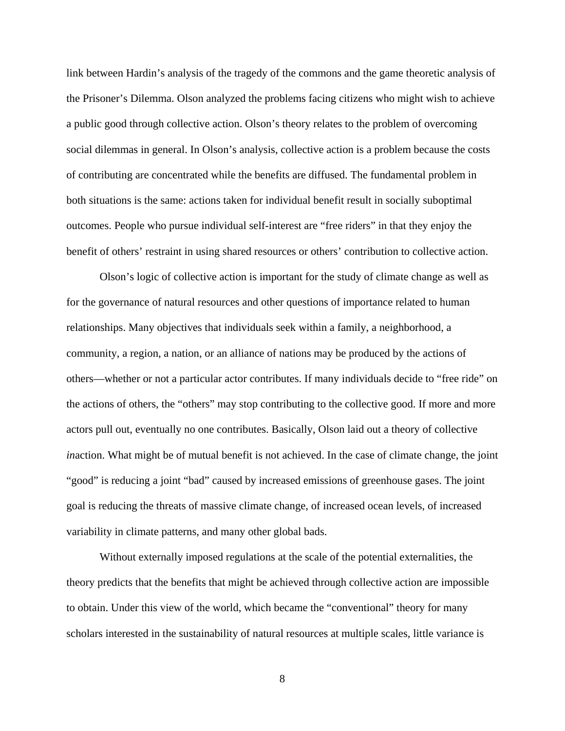link between Hardin's analysis of the tragedy of the commons and the game theoretic analysis of the Prisoner's Dilemma. Olson analyzed the problems facing citizens who might wish to achieve a public good through collective action. Olson's theory relates to the problem of overcoming social dilemmas in general. In Olson's analysis, collective action is a problem because the costs of contributing are concentrated while the benefits are diffused. The fundamental problem in both situations is the same: actions taken for individual benefit result in socially suboptimal outcomes. People who pursue individual self-interest are "free riders" in that they enjoy the benefit of others' restraint in using shared resources or others' contribution to collective action.

Olson's logic of collective action is important for the study of climate change as well as for the governance of natural resources and other questions of importance related to human relationships. Many objectives that individuals seek within a family, a neighborhood, a community, a region, a nation, or an alliance of nations may be produced by the actions of others—whether or not a particular actor contributes. If many individuals decide to "free ride" on the actions of others, the "others" may stop contributing to the collective good. If more and more actors pull out, eventually no one contributes. Basically, Olson laid out a theory of collective *inaction.* What might be of mutual benefit is not achieved. In the case of climate change, the joint "good" is reducing a joint "bad" caused by increased emissions of greenhouse gases. The joint goal is reducing the threats of massive climate change, of increased ocean levels, of increased variability in climate patterns, and many other global bads.

Without externally imposed regulations at the scale of the potential externalities, the theory predicts that the benefits that might be achieved through collective action are impossible to obtain. Under this view of the world, which became the "conventional" theory for many scholars interested in the sustainability of natural resources at multiple scales, little variance is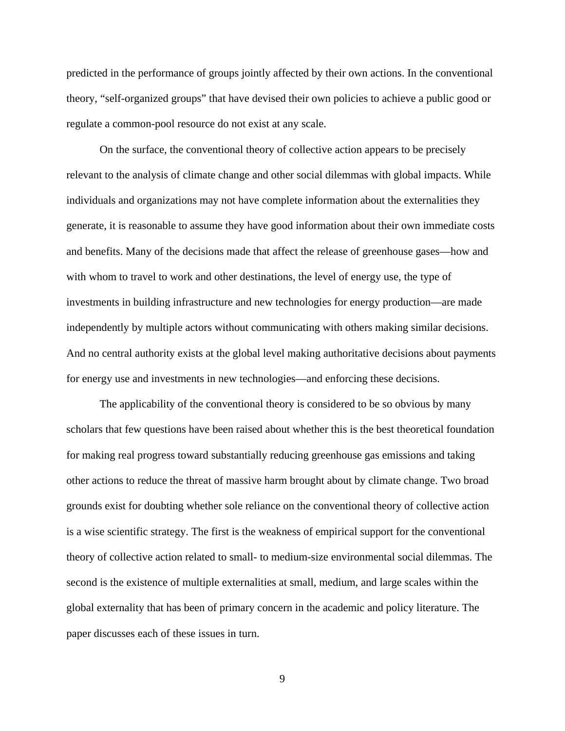predicted in the performance of groups jointly affected by their own actions. In the conventional theory, "self-organized groups" that have devised their own policies to achieve a public good or regulate a common-pool resource do not exist at any scale.

On the surface, the conventional theory of collective action appears to be precisely relevant to the analysis of climate change and other social dilemmas with global impacts. While individuals and organizations may not have complete information about the externalities they generate, it is reasonable to assume they have good information about their own immediate costs and benefits. Many of the decisions made that affect the release of greenhouse gases—how and with whom to travel to work and other destinations, the level of energy use, the type of investments in building infrastructure and new technologies for energy production—are made independently by multiple actors without communicating with others making similar decisions. And no central authority exists at the global level making authoritative decisions about payments for energy use and investments in new technologies—and enforcing these decisions.

The applicability of the conventional theory is considered to be so obvious by many scholars that few questions have been raised about whether this is the best theoretical foundation for making real progress toward substantially reducing greenhouse gas emissions and taking other actions to reduce the threat of massive harm brought about by climate change. Two broad grounds exist for doubting whether sole reliance on the conventional theory of collective action is a wise scientific strategy. The first is the weakness of empirical support for the conventional theory of collective action related to small- to medium-size environmental social dilemmas. The second is the existence of multiple externalities at small, medium, and large scales within the global externality that has been of primary concern in the academic and policy literature. The paper discusses each of these issues in turn.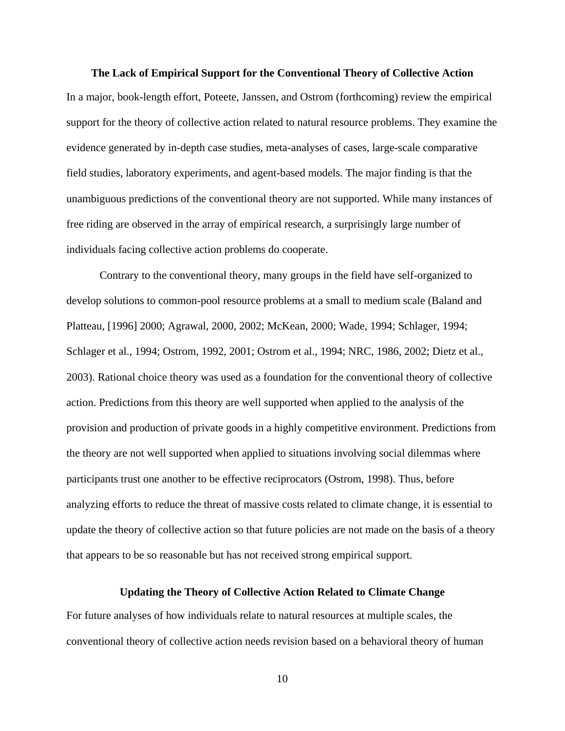**The Lack of Empirical Support for the Conventional Theory of Collective Action**  In a major, book-length effort, Poteete, Janssen, and Ostrom (forthcoming) review the empirical support for the theory of collective action related to natural resource problems. They examine the evidence generated by in-depth case studies, meta-analyses of cases, large-scale comparative field studies, laboratory experiments, and agent-based models. The major finding is that the unambiguous predictions of the conventional theory are not supported. While many instances of free riding are observed in the array of empirical research, a surprisingly large number of individuals facing collective action problems do cooperate.

 Contrary to the conventional theory, many groups in the field have self-organized to develop solutions to common-pool resource problems at a small to medium scale (Baland and Platteau, [1996] 2000; Agrawal, 2000, 2002; McKean, 2000; Wade, 1994; Schlager, 1994; Schlager et al., 1994; Ostrom, 1992, 2001; Ostrom et al., 1994; NRC, 1986, 2002; Dietz et al., 2003). Rational choice theory was used as a foundation for the conventional theory of collective action. Predictions from this theory are well supported when applied to the analysis of the provision and production of private goods in a highly competitive environment. Predictions from the theory are not well supported when applied to situations involving social dilemmas where participants trust one another to be effective reciprocators (Ostrom, 1998). Thus, before analyzing efforts to reduce the threat of massive costs related to climate change, it is essential to update the theory of collective action so that future policies are not made on the basis of a theory that appears to be so reasonable but has not received strong empirical support.

#### **Updating the Theory of Collective Action Related to Climate Change**

For future analyses of how individuals relate to natural resources at multiple scales, the conventional theory of collective action needs revision based on a behavioral theory of human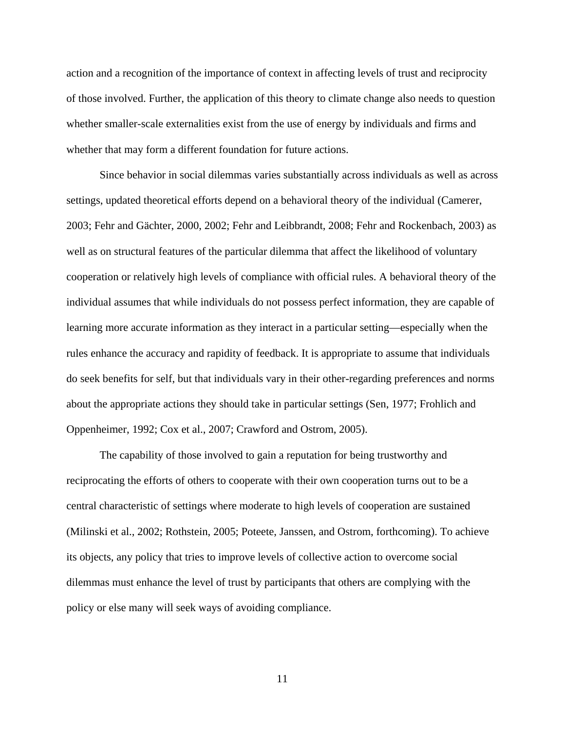action and a recognition of the importance of context in affecting levels of trust and reciprocity of those involved. Further, the application of this theory to climate change also needs to question whether smaller-scale externalities exist from the use of energy by individuals and firms and whether that may form a different foundation for future actions.

 Since behavior in social dilemmas varies substantially across individuals as well as across settings, updated theoretical efforts depend on a behavioral theory of the individual (Camerer, 2003; Fehr and Gächter, 2000, 2002; Fehr and Leibbrandt, 2008; Fehr and Rockenbach, 2003) as well as on structural features of the particular dilemma that affect the likelihood of voluntary cooperation or relatively high levels of compliance with official rules. A behavioral theory of the individual assumes that while individuals do not possess perfect information, they are capable of learning more accurate information as they interact in a particular setting—especially when the rules enhance the accuracy and rapidity of feedback. It is appropriate to assume that individuals do seek benefits for self, but that individuals vary in their other-regarding preferences and norms about the appropriate actions they should take in particular settings (Sen, 1977; Frohlich and Oppenheimer, 1992; Cox et al., 2007; Crawford and Ostrom, 2005).

 The capability of those involved to gain a reputation for being trustworthy and reciprocating the efforts of others to cooperate with their own cooperation turns out to be a central characteristic of settings where moderate to high levels of cooperation are sustained (Milinski et al., 2002; Rothstein, 2005; Poteete, Janssen, and Ostrom, forthcoming). To achieve its objects, any policy that tries to improve levels of collective action to overcome social dilemmas must enhance the level of trust by participants that others are complying with the policy or else many will seek ways of avoiding compliance.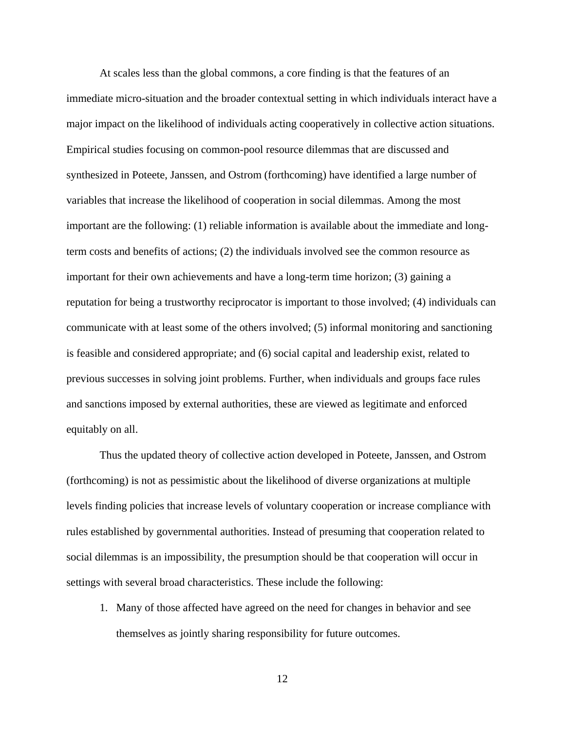At scales less than the global commons, a core finding is that the features of an immediate micro-situation and the broader contextual setting in which individuals interact have a major impact on the likelihood of individuals acting cooperatively in collective action situations. Empirical studies focusing on common-pool resource dilemmas that are discussed and synthesized in Poteete, Janssen, and Ostrom (forthcoming) have identified a large number of variables that increase the likelihood of cooperation in social dilemmas. Among the most important are the following: (1) reliable information is available about the immediate and longterm costs and benefits of actions; (2) the individuals involved see the common resource as important for their own achievements and have a long-term time horizon; (3) gaining a reputation for being a trustworthy reciprocator is important to those involved; (4) individuals can communicate with at least some of the others involved; (5) informal monitoring and sanctioning is feasible and considered appropriate; and (6) social capital and leadership exist, related to previous successes in solving joint problems. Further, when individuals and groups face rules and sanctions imposed by external authorities, these are viewed as legitimate and enforced equitably on all.

 Thus the updated theory of collective action developed in Poteete, Janssen, and Ostrom (forthcoming) is not as pessimistic about the likelihood of diverse organizations at multiple levels finding policies that increase levels of voluntary cooperation or increase compliance with rules established by governmental authorities. Instead of presuming that cooperation related to social dilemmas is an impossibility, the presumption should be that cooperation will occur in settings with several broad characteristics. These include the following:

1. Many of those affected have agreed on the need for changes in behavior and see themselves as jointly sharing responsibility for future outcomes.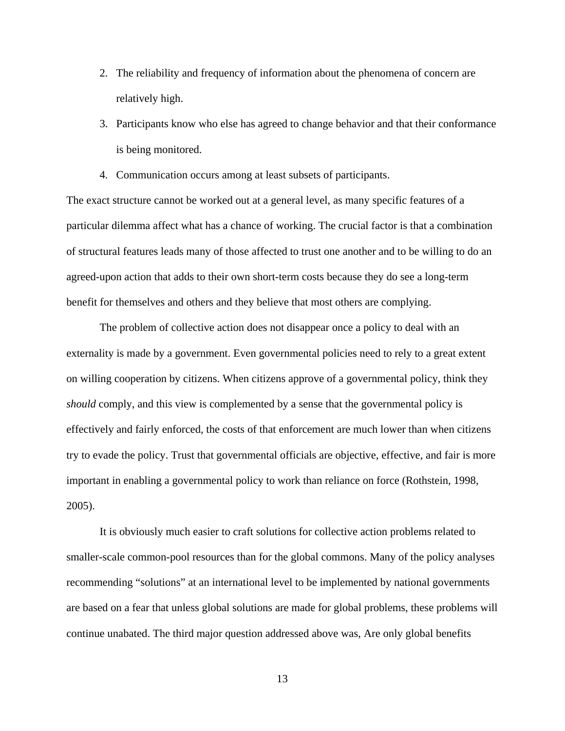- 2. The reliability and frequency of information about the phenomena of concern are relatively high.
- 3. Participants know who else has agreed to change behavior and that their conformance is being monitored.
- 4. Communication occurs among at least subsets of participants.

The exact structure cannot be worked out at a general level, as many specific features of a particular dilemma affect what has a chance of working. The crucial factor is that a combination of structural features leads many of those affected to trust one another and to be willing to do an agreed-upon action that adds to their own short-term costs because they do see a long-term benefit for themselves and others and they believe that most others are complying.

 The problem of collective action does not disappear once a policy to deal with an externality is made by a government. Even governmental policies need to rely to a great extent on willing cooperation by citizens. When citizens approve of a governmental policy, think they *should* comply, and this view is complemented by a sense that the governmental policy is effectively and fairly enforced, the costs of that enforcement are much lower than when citizens try to evade the policy. Trust that governmental officials are objective, effective, and fair is more important in enabling a governmental policy to work than reliance on force (Rothstein, 1998, 2005).

 It is obviously much easier to craft solutions for collective action problems related to smaller-scale common-pool resources than for the global commons. Many of the policy analyses recommending "solutions" at an international level to be implemented by national governments are based on a fear that unless global solutions are made for global problems, these problems will continue unabated. The third major question addressed above was, Are only global benefits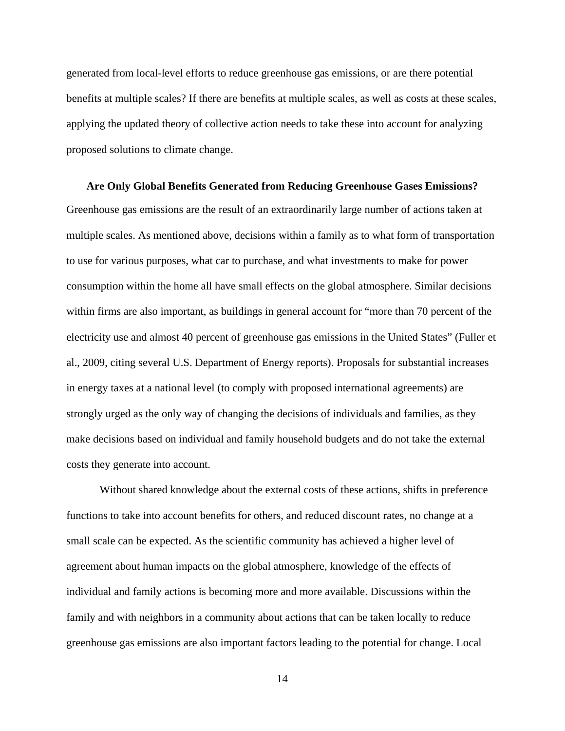generated from local-level efforts to reduce greenhouse gas emissions, or are there potential benefits at multiple scales? If there are benefits at multiple scales, as well as costs at these scales, applying the updated theory of collective action needs to take these into account for analyzing proposed solutions to climate change.

**Are Only Global Benefits Generated from Reducing Greenhouse Gases Emissions?**  Greenhouse gas emissions are the result of an extraordinarily large number of actions taken at multiple scales. As mentioned above, decisions within a family as to what form of transportation to use for various purposes, what car to purchase, and what investments to make for power consumption within the home all have small effects on the global atmosphere. Similar decisions within firms are also important, as buildings in general account for "more than 70 percent of the electricity use and almost 40 percent of greenhouse gas emissions in the United States" (Fuller et al., 2009, citing several U.S. Department of Energy reports). Proposals for substantial increases in energy taxes at a national level (to comply with proposed international agreements) are strongly urged as the only way of changing the decisions of individuals and families, as they make decisions based on individual and family household budgets and do not take the external costs they generate into account.

Without shared knowledge about the external costs of these actions, shifts in preference functions to take into account benefits for others, and reduced discount rates, no change at a small scale can be expected. As the scientific community has achieved a higher level of agreement about human impacts on the global atmosphere, knowledge of the effects of individual and family actions is becoming more and more available. Discussions within the family and with neighbors in a community about actions that can be taken locally to reduce greenhouse gas emissions are also important factors leading to the potential for change. Local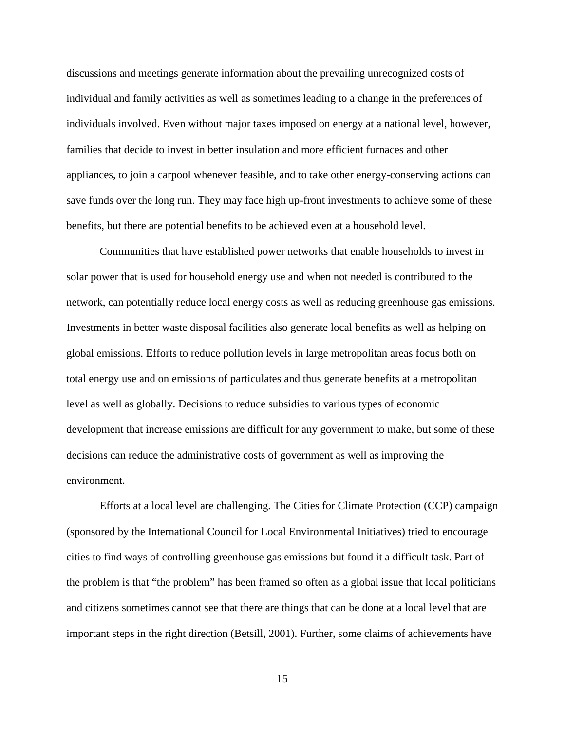discussions and meetings generate information about the prevailing unrecognized costs of individual and family activities as well as sometimes leading to a change in the preferences of individuals involved. Even without major taxes imposed on energy at a national level, however, families that decide to invest in better insulation and more efficient furnaces and other appliances, to join a carpool whenever feasible, and to take other energy-conserving actions can save funds over the long run. They may face high up-front investments to achieve some of these benefits, but there are potential benefits to be achieved even at a household level.

Communities that have established power networks that enable households to invest in solar power that is used for household energy use and when not needed is contributed to the network, can potentially reduce local energy costs as well as reducing greenhouse gas emissions. Investments in better waste disposal facilities also generate local benefits as well as helping on global emissions. Efforts to reduce pollution levels in large metropolitan areas focus both on total energy use and on emissions of particulates and thus generate benefits at a metropolitan level as well as globally. Decisions to reduce subsidies to various types of economic development that increase emissions are difficult for any government to make, but some of these decisions can reduce the administrative costs of government as well as improving the environment.

Efforts at a local level are challenging. The Cities for Climate Protection (CCP) campaign (sponsored by the International Council for Local Environmental Initiatives) tried to encourage cities to find ways of controlling greenhouse gas emissions but found it a difficult task. Part of the problem is that "the problem" has been framed so often as a global issue that local politicians and citizens sometimes cannot see that there are things that can be done at a local level that are important steps in the right direction (Betsill, 2001). Further, some claims of achievements have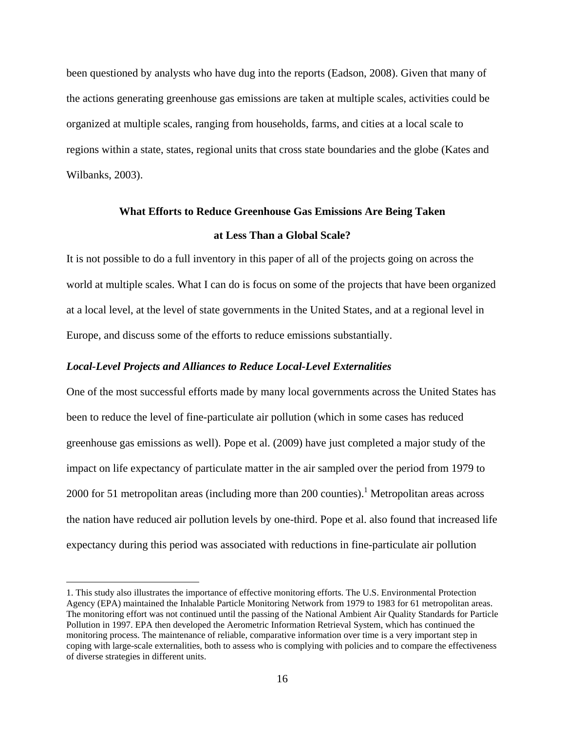been questioned by analysts who have dug into the reports (Eadson, 2008). Given that many of the actions generating greenhouse gas emissions are taken at multiple scales, activities could be organized at multiple scales, ranging from households, farms, and cities at a local scale to regions within a state, states, regional units that cross state boundaries and the globe (Kates and Wilbanks, 2003).

### **What Efforts to Reduce Greenhouse Gas Emissions Are Being Taken at Less Than a Global Scale?**

It is not possible to do a full inventory in this paper of all of the projects going on across the world at multiple scales. What I can do is focus on some of the projects that have been organized at a local level, at the level of state governments in the United States, and at a regional level in Europe, and discuss some of the efforts to reduce emissions substantially.

#### *Local-Level Projects and Alliances to Reduce Local-Level Externalities*

 $\overline{a}$ 

One of the most successful efforts made by many local governments across the United States has been to reduce the level of fine-particulate air pollution (which in some cases has reduced greenhouse gas emissions as well). Pope et al. (2009) have just completed a major study of the impact on life expectancy of particulate matter in the air sampled over the period from 1979 to 2000 for 51 metropolitan areas (including more than 200 counties).<sup>1</sup> Metropolitan areas across the nation have reduced air pollution levels by one-third. Pope et al. also found that increased life expectancy during this period was associated with reductions in fine-particulate air pollution

<sup>1.</sup> This study also illustrates the importance of effective monitoring efforts. The U.S. Environmental Protection Agency (EPA) maintained the Inhalable Particle Monitoring Network from 1979 to 1983 for 61 metropolitan areas. The monitoring effort was not continued until the passing of the National Ambient Air Quality Standards for Particle Pollution in 1997. EPA then developed the Aerometric Information Retrieval System, which has continued the monitoring process. The maintenance of reliable, comparative information over time is a very important step in coping with large-scale externalities, both to assess who is complying with policies and to compare the effectiveness of diverse strategies in different units.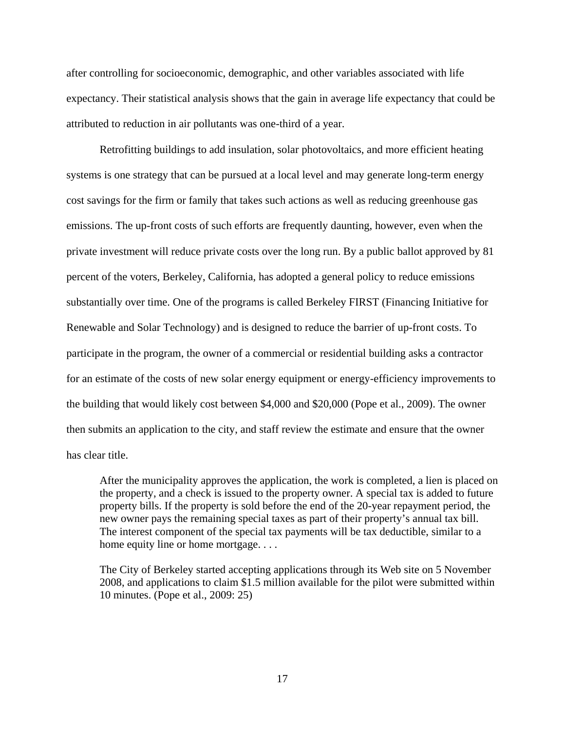after controlling for socioeconomic, demographic, and other variables associated with life expectancy. Their statistical analysis shows that the gain in average life expectancy that could be attributed to reduction in air pollutants was one-third of a year.

 Retrofitting buildings to add insulation, solar photovoltaics, and more efficient heating systems is one strategy that can be pursued at a local level and may generate long-term energy cost savings for the firm or family that takes such actions as well as reducing greenhouse gas emissions. The up-front costs of such efforts are frequently daunting, however, even when the private investment will reduce private costs over the long run. By a public ballot approved by 81 percent of the voters, Berkeley, California, has adopted a general policy to reduce emissions substantially over time. One of the programs is called Berkeley FIRST (Financing Initiative for Renewable and Solar Technology) and is designed to reduce the barrier of up-front costs. To participate in the program, the owner of a commercial or residential building asks a contractor for an estimate of the costs of new solar energy equipment or energy-efficiency improvements to the building that would likely cost between \$4,000 and \$20,000 (Pope et al., 2009). The owner then submits an application to the city, and staff review the estimate and ensure that the owner has clear title.

After the municipality approves the application, the work is completed, a lien is placed on the property, and a check is issued to the property owner. A special tax is added to future property bills. If the property is sold before the end of the 20-year repayment period, the new owner pays the remaining special taxes as part of their property's annual tax bill. The interest component of the special tax payments will be tax deductible, similar to a home equity line or home mortgage. . . .

The City of Berkeley started accepting applications through its Web site on 5 November 2008, and applications to claim \$1.5 million available for the pilot were submitted within 10 minutes. (Pope et al., 2009: 25)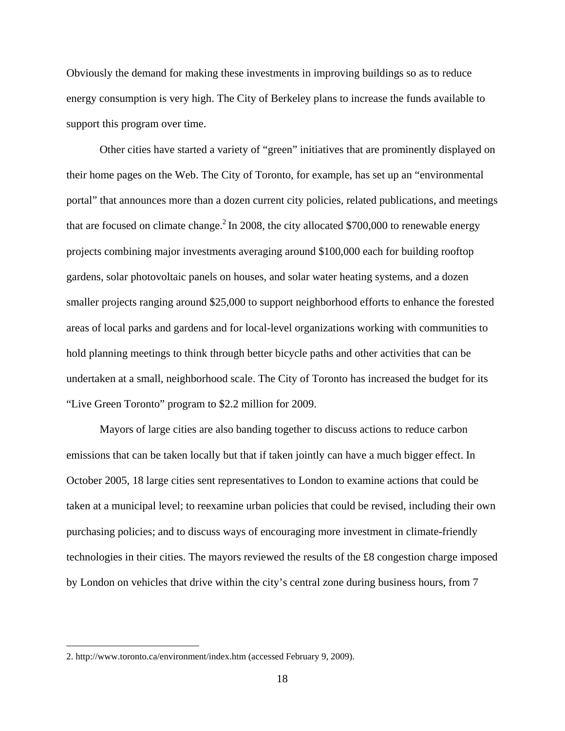Obviously the demand for making these investments in improving buildings so as to reduce energy consumption is very high. The City of Berkeley plans to increase the funds available to support this program over time.

 Other cities have started a variety of "green" initiatives that are prominently displayed on their home pages on the Web. The City of Toronto, for example, has set up an "environmental portal" that announces more than a dozen current city policies, related publications, and meetings that are focused on climate change.<sup>2</sup> In 2008, the city allocated \$700,000 to renewable energy projects combining major investments averaging around \$100,000 each for building rooftop gardens, solar photovoltaic panels on houses, and solar water heating systems, and a dozen smaller projects ranging around \$25,000 to support neighborhood efforts to enhance the forested areas of local parks and gardens and for local-level organizations working with communities to hold planning meetings to think through better bicycle paths and other activities that can be undertaken at a small, neighborhood scale. The City of Toronto has increased the budget for its "Live Green Toronto" program to \$2.2 million for 2009.

 Mayors of large cities are also banding together to discuss actions to reduce carbon emissions that can be taken locally but that if taken jointly can have a much bigger effect. In October 2005, 18 large cities sent representatives to London to examine actions that could be taken at a municipal level; to reexamine urban policies that could be revised, including their own purchasing policies; and to discuss ways of encouraging more investment in climate-friendly technologies in their cities. The mayors reviewed the results of the £8 congestion charge imposed by London on vehicles that drive within the city's central zone during business hours, from 7

<sup>2.</sup> http://www.toronto.ca/environment/index.htm (accessed February 9, 2009).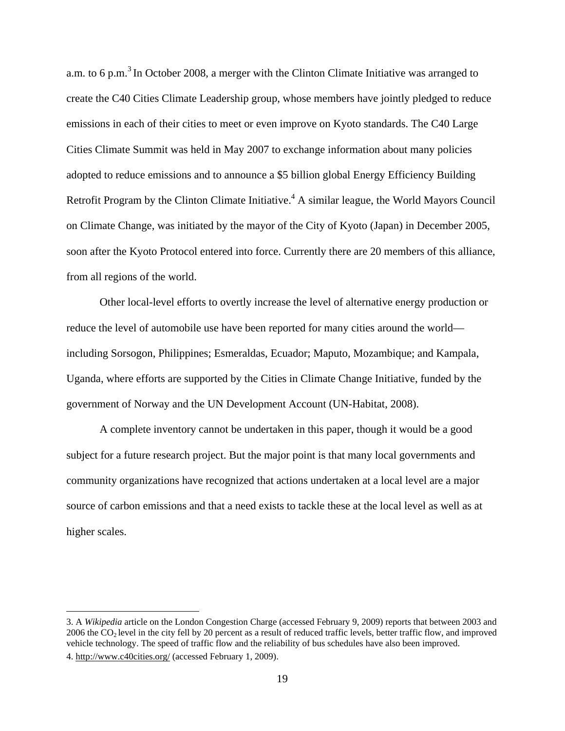a.m. to 6 p.m.<sup>3</sup> In October 2008, a merger with the Clinton Climate Initiative was arranged to create the C40 Cities Climate Leadership group, whose members have jointly pledged to reduce emissions in each of their cities to meet or even improve on Kyoto standards. The C40 Large Cities Climate Summit was held in May 2007 to exchange information about many policies adopted to reduce emissions and to announce a \$5 billion global Energy Efficiency Building Retrofit Program by the Clinton Climate Initiative.<sup>4</sup> A similar league, the World Mayors Council on Climate Change, was initiated by the mayor of the City of Kyoto (Japan) in December 2005, soon after the Kyoto Protocol entered into force. Currently there are 20 members of this alliance, from all regions of the world.

Other local-level efforts to overtly increase the level of alternative energy production or reduce the level of automobile use have been reported for many cities around the world including Sorsogon, Philippines; Esmeraldas, Ecuador; Maputo, Mozambique; and Kampala, Uganda, where efforts are supported by the Cities in Climate Change Initiative, funded by the government of Norway and the UN Development Account (UN-Habitat, 2008).

A complete inventory cannot be undertaken in this paper, though it would be a good subject for a future research project. But the major point is that many local governments and community organizations have recognized that actions undertaken at a local level are a major source of carbon emissions and that a need exists to tackle these at the local level as well as at higher scales.

<sup>3.</sup> A *Wikipedia* article on the London Congestion Charge (accessed February 9, 2009) reports that between 2003 and 2006 the CO2 level in the city fell by 20 percent as a result of reduced traffic levels, better traffic flow, and improved vehicle technology. The speed of traffic flow and the reliability of bus schedules have also been improved. 4. http://www.c40cities.org/ (accessed February 1, 2009).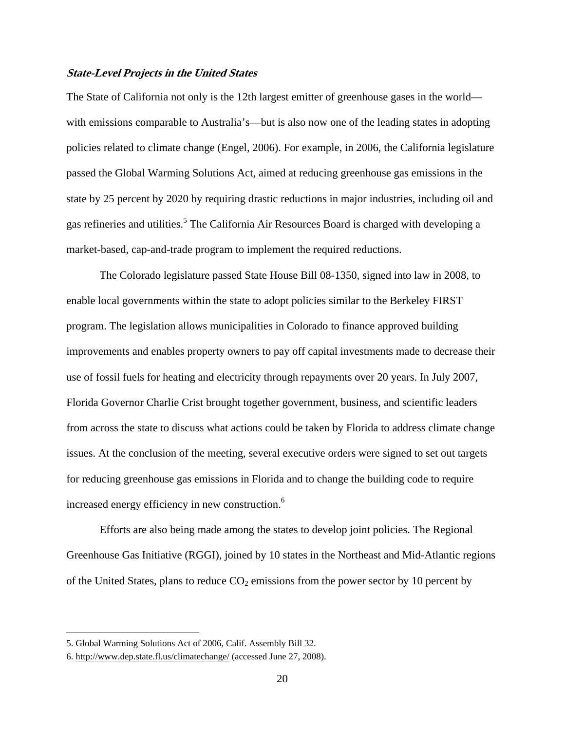#### **State-Level Projects in the United States**

The State of California not only is the 12th largest emitter of greenhouse gases in the world with emissions comparable to Australia's—but is also now one of the leading states in adopting policies related to climate change (Engel, 2006). For example, in 2006, the California legislature passed the Global Warming Solutions Act, aimed at reducing greenhouse gas emissions in the state by 25 percent by 2020 by requiring drastic reductions in major industries, including oil and gas refineries and utilities.<sup>5</sup> The California Air Resources Board is charged with developing a market-based, cap-and-trade program to implement the required reductions.

 The Colorado legislature passed State House Bill 08-1350, signed into law in 2008, to enable local governments within the state to adopt policies similar to the Berkeley FIRST program. The legislation allows municipalities in Colorado to finance approved building improvements and enables property owners to pay off capital investments made to decrease their use of fossil fuels for heating and electricity through repayments over 20 years. In July 2007, Florida Governor Charlie Crist brought together government, business, and scientific leaders from across the state to discuss what actions could be taken by Florida to address climate change issues. At the conclusion of the meeting, several executive orders were signed to set out targets for reducing greenhouse gas emissions in Florida and to change the building code to require increased energy efficiency in new construction.<sup>6</sup>

Efforts are also being made among the states to develop joint policies. The Regional Greenhouse Gas Initiative (RGGI), joined by 10 states in the Northeast and Mid-Atlantic regions of the United States, plans to reduce  $CO<sub>2</sub>$  emissions from the power sector by 10 percent by

<sup>5.</sup> Global Warming Solutions Act of 2006, Calif. Assembly Bill 32.

<sup>6.</sup> http://www.dep.state.fl.us/climatechange/ (accessed June 27, 2008).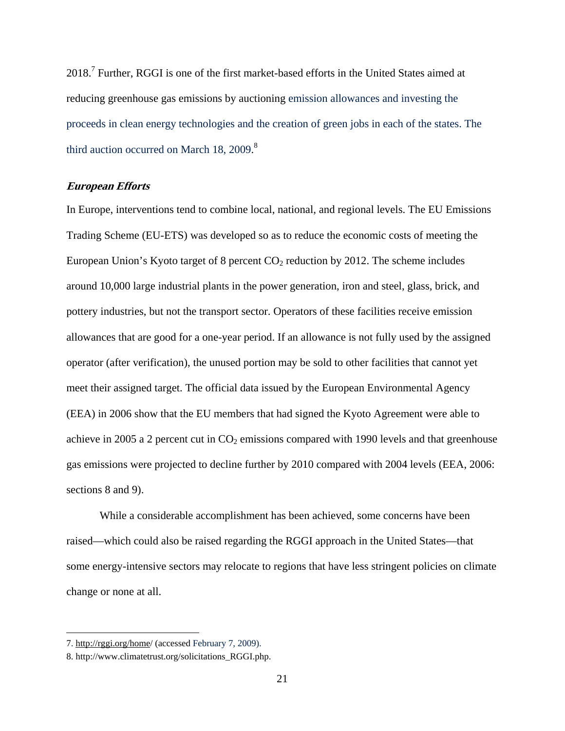2018.<sup>7</sup> Further, RGGI is one of the first market-based efforts in the United States aimed at reducing greenhouse gas emissions by auctioning emission allowances and investing the proceeds in clean energy technologies and the creation of green jobs in each of the states. The third auction occurred on March 18, 2009.<sup>8</sup>

#### **European Efforts**

In Europe, interventions tend to combine local, national, and regional levels. The EU Emissions Trading Scheme (EU-ETS) was developed so as to reduce the economic costs of meeting the European Union's Kyoto target of 8 percent  $CO<sub>2</sub>$  reduction by 2012. The scheme includes around 10,000 large industrial plants in the power generation, iron and steel, glass, brick, and pottery industries, but not the transport sector. Operators of these facilities receive emission allowances that are good for a one-year period. If an allowance is not fully used by the assigned operator (after verification), the unused portion may be sold to other facilities that cannot yet meet their assigned target. The official data issued by the European Environmental Agency (EEA) in 2006 show that the EU members that had signed the Kyoto Agreement were able to achieve in 2005 a 2 percent cut in  $CO<sub>2</sub>$  emissions compared with 1990 levels and that greenhouse gas emissions were projected to decline further by 2010 compared with 2004 levels (EEA, 2006: sections 8 and 9).

 While a considerable accomplishment has been achieved, some concerns have been raised—which could also be raised regarding the RGGI approach in the United States—that some energy-intensive sectors may relocate to regions that have less stringent policies on climate change or none at all.

<sup>7.</sup> http://rggi.org/home/ (accessed February 7, 2009).

<sup>8.</sup> http://www.climatetrust.org/solicitations\_RGGI.php.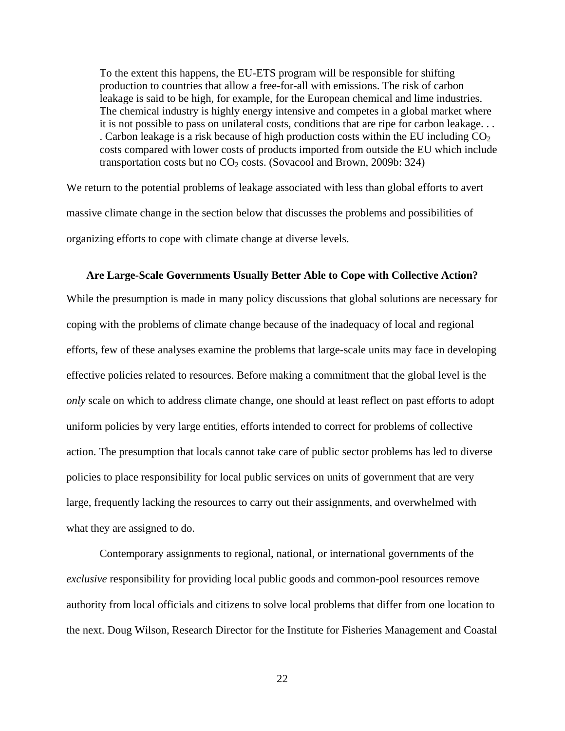To the extent this happens, the EU-ETS program will be responsible for shifting production to countries that allow a free-for-all with emissions. The risk of carbon leakage is said to be high, for example, for the European chemical and lime industries. The chemical industry is highly energy intensive and competes in a global market where it is not possible to pass on unilateral costs, conditions that are ripe for carbon leakage. . . . Carbon leakage is a risk because of high production costs within the EU including  $CO<sub>2</sub>$ costs compared with lower costs of products imported from outside the EU which include transportation costs but no  $CO<sub>2</sub>$  costs. (Sovacool and Brown, 2009b: 324)

We return to the potential problems of leakage associated with less than global efforts to avert massive climate change in the section below that discusses the problems and possibilities of organizing efforts to cope with climate change at diverse levels.

#### **Are Large-Scale Governments Usually Better Able to Cope with Collective Action?**

While the presumption is made in many policy discussions that global solutions are necessary for coping with the problems of climate change because of the inadequacy of local and regional efforts, few of these analyses examine the problems that large-scale units may face in developing effective policies related to resources. Before making a commitment that the global level is the *only* scale on which to address climate change, one should at least reflect on past efforts to adopt uniform policies by very large entities, efforts intended to correct for problems of collective action. The presumption that locals cannot take care of public sector problems has led to diverse policies to place responsibility for local public services on units of government that are very large, frequently lacking the resources to carry out their assignments, and overwhelmed with what they are assigned to do.

Contemporary assignments to regional, national, or international governments of the *exclusive* responsibility for providing local public goods and common-pool resources remove authority from local officials and citizens to solve local problems that differ from one location to the next. Doug Wilson, Research Director for the Institute for Fisheries Management and Coastal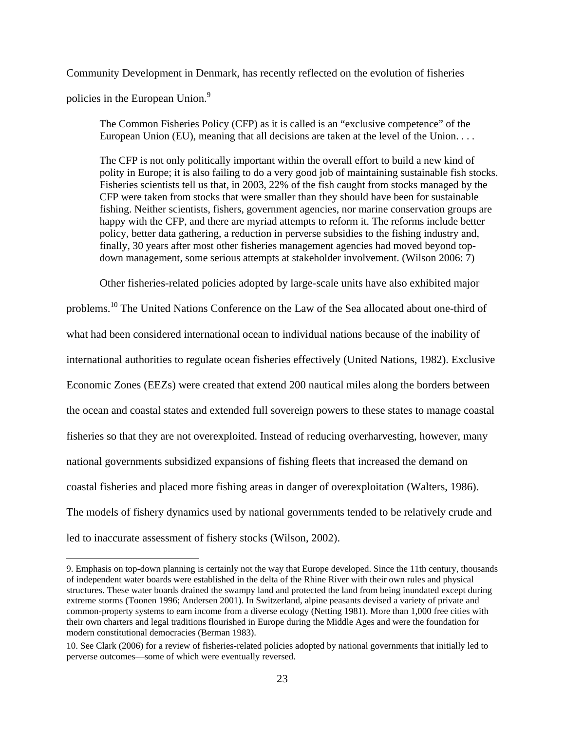Community Development in Denmark, has recently reflected on the evolution of fisheries

policies in the European Union.<sup>9</sup>

The Common Fisheries Policy (CFP) as it is called is an "exclusive competence" of the European Union (EU), meaning that all decisions are taken at the level of the Union. . . .

The CFP is not only politically important within the overall effort to build a new kind of polity in Europe; it is also failing to do a very good job of maintaining sustainable fish stocks. Fisheries scientists tell us that, in 2003, 22% of the fish caught from stocks managed by the CFP were taken from stocks that were smaller than they should have been for sustainable fishing. Neither scientists, fishers, government agencies, nor marine conservation groups are happy with the CFP, and there are myriad attempts to reform it. The reforms include better policy, better data gathering, a reduction in perverse subsidies to the fishing industry and, finally, 30 years after most other fisheries management agencies had moved beyond topdown management, some serious attempts at stakeholder involvement. (Wilson 2006: 7)

Other fisheries-related policies adopted by large-scale units have also exhibited major problems.10 The United Nations Conference on the Law of the Sea allocated about one-third of what had been considered international ocean to individual nations because of the inability of international authorities to regulate ocean fisheries effectively (United Nations, 1982). Exclusive

Economic Zones (EEZs) were created that extend 200 nautical miles along the borders between

the ocean and coastal states and extended full sovereign powers to these states to manage coastal

fisheries so that they are not overexploited. Instead of reducing overharvesting, however, many

national governments subsidized expansions of fishing fleets that increased the demand on

coastal fisheries and placed more fishing areas in danger of overexploitation (Walters, 1986).

The models of fishery dynamics used by national governments tended to be relatively crude and

led to inaccurate assessment of fishery stocks (Wilson, 2002).

<sup>9.</sup> Emphasis on top-down planning is certainly not the way that Europe developed. Since the 11th century, thousands of independent water boards were established in the delta of the Rhine River with their own rules and physical structures. These water boards drained the swampy land and protected the land from being inundated except during extreme storms (Toonen 1996; Andersen 2001). In Switzerland, alpine peasants devised a variety of private and common-property systems to earn income from a diverse ecology (Netting 1981). More than 1,000 free cities with their own charters and legal traditions flourished in Europe during the Middle Ages and were the foundation for modern constitutional democracies (Berman 1983).

<sup>10.</sup> See Clark (2006) for a review of fisheries-related policies adopted by national governments that initially led to perverse outcomes—some of which were eventually reversed.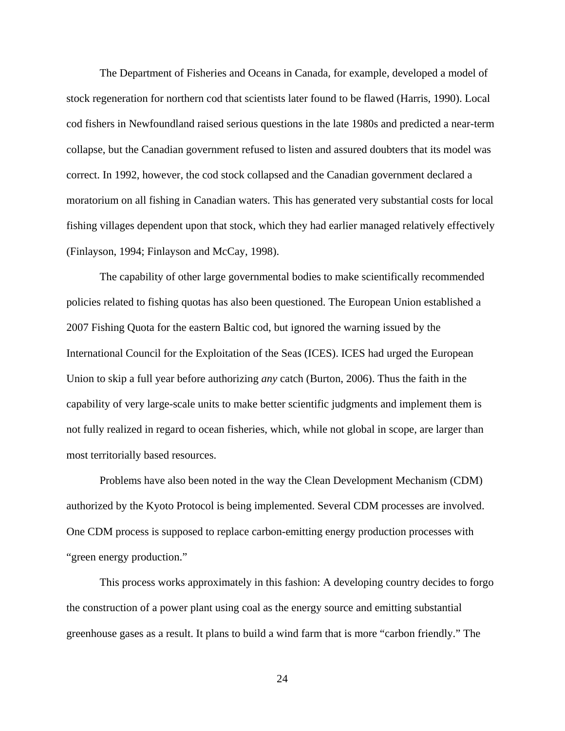The Department of Fisheries and Oceans in Canada, for example, developed a model of stock regeneration for northern cod that scientists later found to be flawed (Harris, 1990). Local cod fishers in Newfoundland raised serious questions in the late 1980s and predicted a near-term collapse, but the Canadian government refused to listen and assured doubters that its model was correct. In 1992, however, the cod stock collapsed and the Canadian government declared a moratorium on all fishing in Canadian waters. This has generated very substantial costs for local fishing villages dependent upon that stock, which they had earlier managed relatively effectively (Finlayson, 1994; Finlayson and McCay, 1998).

The capability of other large governmental bodies to make scientifically recommended policies related to fishing quotas has also been questioned. The European Union established a 2007 Fishing Quota for the eastern Baltic cod, but ignored the warning issued by the International Council for the Exploitation of the Seas (ICES). ICES had urged the European Union to skip a full year before authorizing *any* catch (Burton, 2006). Thus the faith in the capability of very large-scale units to make better scientific judgments and implement them is not fully realized in regard to ocean fisheries, which, while not global in scope, are larger than most territorially based resources.

Problems have also been noted in the way the Clean Development Mechanism (CDM) authorized by the Kyoto Protocol is being implemented. Several CDM processes are involved. One CDM process is supposed to replace carbon-emitting energy production processes with "green energy production."

This process works approximately in this fashion: A developing country decides to forgo the construction of a power plant using coal as the energy source and emitting substantial greenhouse gases as a result. It plans to build a wind farm that is more "carbon friendly." The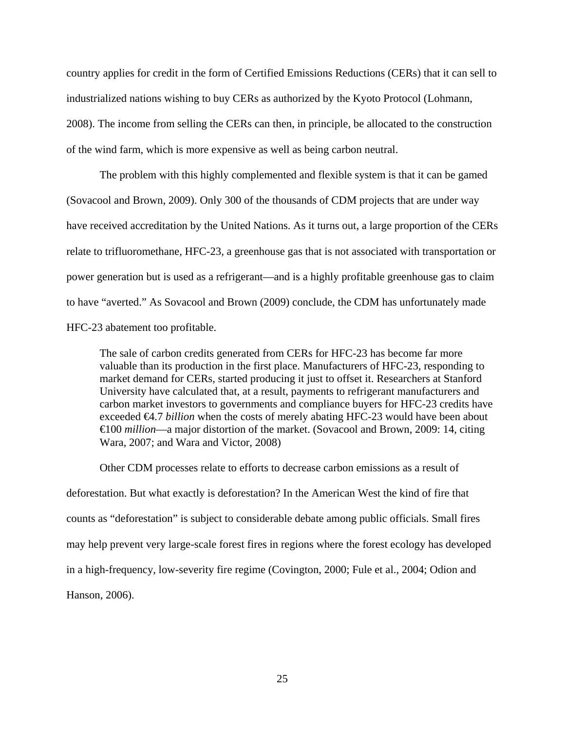country applies for credit in the form of Certified Emissions Reductions (CERs) that it can sell to industrialized nations wishing to buy CERs as authorized by the Kyoto Protocol (Lohmann, 2008). The income from selling the CERs can then, in principle, be allocated to the construction of the wind farm, which is more expensive as well as being carbon neutral.

The problem with this highly complemented and flexible system is that it can be gamed (Sovacool and Brown, 2009). Only 300 of the thousands of CDM projects that are under way have received accreditation by the United Nations. As it turns out, a large proportion of the CERs relate to trifluoromethane, HFC-23, a greenhouse gas that is not associated with transportation or power generation but is used as a refrigerant—and is a highly profitable greenhouse gas to claim to have "averted." As Sovacool and Brown (2009) conclude, the CDM has unfortunately made HFC-23 abatement too profitable.

The sale of carbon credits generated from CERs for HFC-23 has become far more valuable than its production in the first place. Manufacturers of HFC-23, responding to market demand for CERs, started producing it just to offset it. Researchers at Stanford University have calculated that, at a result, payments to refrigerant manufacturers and carbon market investors to governments and compliance buyers for HFC-23 credits have exceeded €4.7 *billion* when the costs of merely abating HFC-23 would have been about €100 *million*—a major distortion of the market. (Sovacool and Brown, 2009: 14, citing Wara, 2007; and Wara and Victor, 2008)

Other CDM processes relate to efforts to decrease carbon emissions as a result of deforestation. But what exactly is deforestation? In the American West the kind of fire that counts as "deforestation" is subject to considerable debate among public officials. Small fires may help prevent very large-scale forest fires in regions where the forest ecology has developed in a high-frequency, low-severity fire regime (Covington, 2000; Fule et al., 2004; Odion and Hanson, 2006).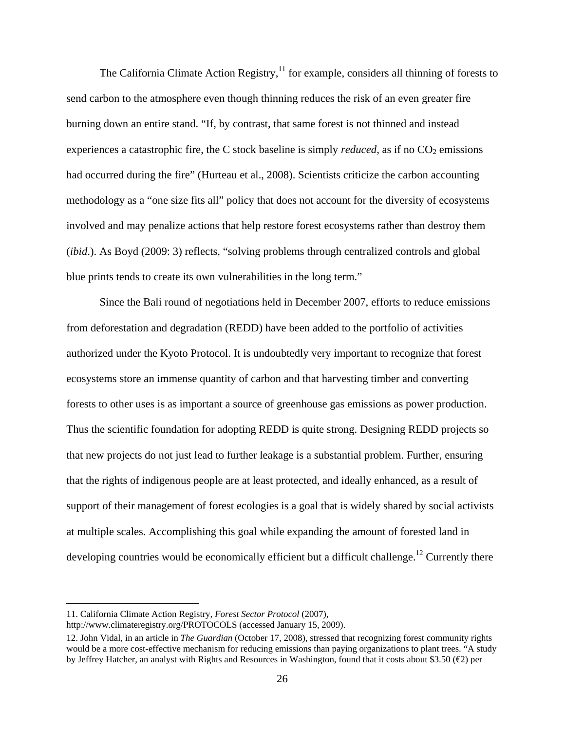The California Climate Action Registry, $11$  for example, considers all thinning of forests to send carbon to the atmosphere even though thinning reduces the risk of an even greater fire burning down an entire stand. "If, by contrast, that same forest is not thinned and instead experiences a catastrophic fire, the C stock baseline is simply *reduced*, as if no  $CO<sub>2</sub>$  emissions had occurred during the fire" (Hurteau et al., 2008). Scientists criticize the carbon accounting methodology as a "one size fits all" policy that does not account for the diversity of ecosystems involved and may penalize actions that help restore forest ecosystems rather than destroy them (*ibid*.). As Boyd (2009: 3) reflects, "solving problems through centralized controls and global blue prints tends to create its own vulnerabilities in the long term."

Since the Bali round of negotiations held in December 2007, efforts to reduce emissions from deforestation and degradation (REDD) have been added to the portfolio of activities authorized under the Kyoto Protocol. It is undoubtedly very important to recognize that forest ecosystems store an immense quantity of carbon and that harvesting timber and converting forests to other uses is as important a source of greenhouse gas emissions as power production. Thus the scientific foundation for adopting REDD is quite strong. Designing REDD projects so that new projects do not just lead to further leakage is a substantial problem. Further, ensuring that the rights of indigenous people are at least protected, and ideally enhanced, as a result of support of their management of forest ecologies is a goal that is widely shared by social activists at multiple scales. Accomplishing this goal while expanding the amount of forested land in developing countries would be economically efficient but a difficult challenge.<sup>12</sup> Currently there

<sup>11.</sup> California Climate Action Registry, *Forest Sector Protocol* (2007),

http://www.climateregistry.org/PROTOCOLS (accessed January 15, 2009).

<sup>12.</sup> John Vidal, in an article in *The Guardian* (October 17, 2008), stressed that recognizing forest community rights would be a more cost-effective mechanism for reducing emissions than paying organizations to plant trees. "A study by Jeffrey Hatcher, an analyst with Rights and Resources in Washington, found that it costs about \$3.50 (€2) per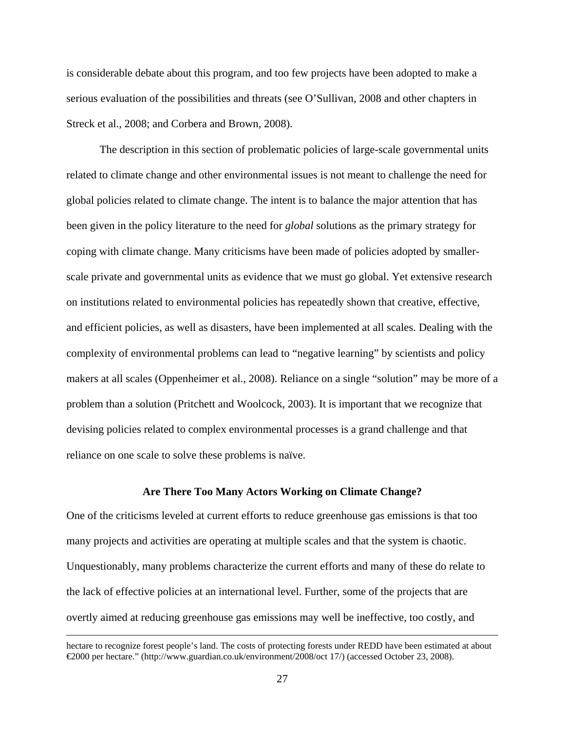is considerable debate about this program, and too few projects have been adopted to make a serious evaluation of the possibilities and threats (see O'Sullivan, 2008 and other chapters in Streck et al., 2008; and Corbera and Brown, 2008).

The description in this section of problematic policies of large-scale governmental units related to climate change and other environmental issues is not meant to challenge the need for global policies related to climate change. The intent is to balance the major attention that has been given in the policy literature to the need for *global* solutions as the primary strategy for coping with climate change. Many criticisms have been made of policies adopted by smallerscale private and governmental units as evidence that we must go global. Yet extensive research on institutions related to environmental policies has repeatedly shown that creative, effective, and efficient policies, as well as disasters, have been implemented at all scales. Dealing with the complexity of environmental problems can lead to "negative learning" by scientists and policy makers at all scales (Oppenheimer et al., 2008). Reliance on a single "solution" may be more of a problem than a solution (Pritchett and Woolcock, 2003). It is important that we recognize that devising policies related to complex environmental processes is a grand challenge and that reliance on one scale to solve these problems is naïve.

#### **Are There Too Many Actors Working on Climate Change?**

One of the criticisms leveled at current efforts to reduce greenhouse gas emissions is that too many projects and activities are operating at multiple scales and that the system is chaotic. Unquestionably, many problems characterize the current efforts and many of these do relate to the lack of effective policies at an international level. Further, some of the projects that are overtly aimed at reducing greenhouse gas emissions may well be ineffective, too costly, and

hectare to recognize forest people's land. The costs of protecting forests under REDD have been estimated at about €2000 per hectare." (http://www.guardian.co.uk/environment/2008/oct 17/) (accessed October 23, 2008).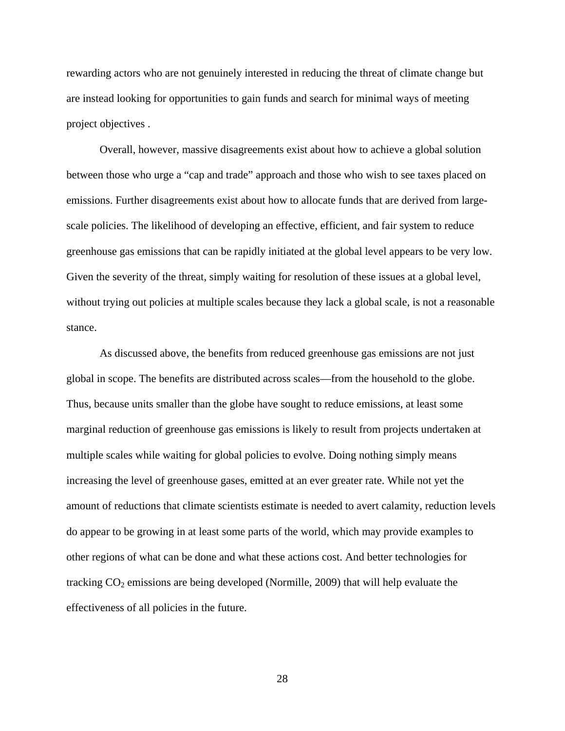rewarding actors who are not genuinely interested in reducing the threat of climate change but are instead looking for opportunities to gain funds and search for minimal ways of meeting project objectives .

Overall, however, massive disagreements exist about how to achieve a global solution between those who urge a "cap and trade" approach and those who wish to see taxes placed on emissions. Further disagreements exist about how to allocate funds that are derived from largescale policies. The likelihood of developing an effective, efficient, and fair system to reduce greenhouse gas emissions that can be rapidly initiated at the global level appears to be very low. Given the severity of the threat, simply waiting for resolution of these issues at a global level, without trying out policies at multiple scales because they lack a global scale, is not a reasonable stance.

As discussed above, the benefits from reduced greenhouse gas emissions are not just global in scope. The benefits are distributed across scales—from the household to the globe. Thus, because units smaller than the globe have sought to reduce emissions, at least some marginal reduction of greenhouse gas emissions is likely to result from projects undertaken at multiple scales while waiting for global policies to evolve. Doing nothing simply means increasing the level of greenhouse gases, emitted at an ever greater rate. While not yet the amount of reductions that climate scientists estimate is needed to avert calamity, reduction levels do appear to be growing in at least some parts of the world, which may provide examples to other regions of what can be done and what these actions cost. And better technologies for tracking  $CO<sub>2</sub>$  emissions are being developed (Normille, 2009) that will help evaluate the effectiveness of all policies in the future.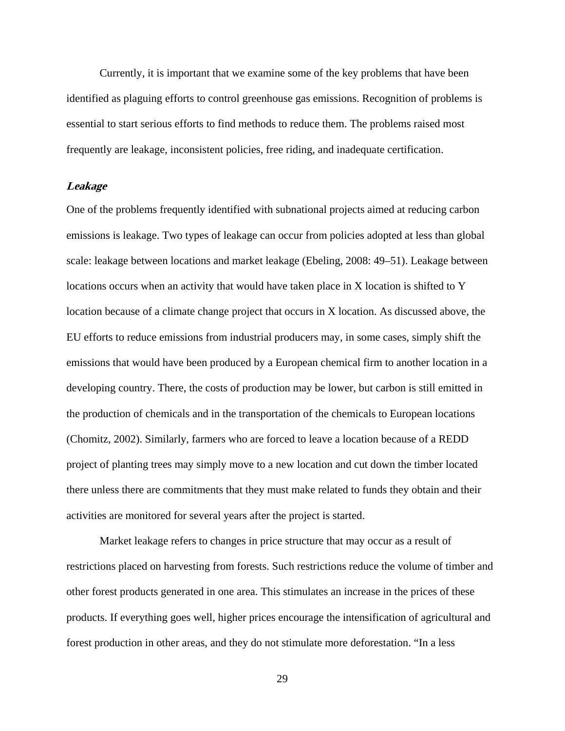Currently, it is important that we examine some of the key problems that have been identified as plaguing efforts to control greenhouse gas emissions. Recognition of problems is essential to start serious efforts to find methods to reduce them. The problems raised most frequently are leakage, inconsistent policies, free riding, and inadequate certification.

#### **Leakage**

One of the problems frequently identified with subnational projects aimed at reducing carbon emissions is leakage. Two types of leakage can occur from policies adopted at less than global scale: leakage between locations and market leakage (Ebeling, 2008: 49–51). Leakage between locations occurs when an activity that would have taken place in X location is shifted to Y location because of a climate change project that occurs in X location. As discussed above, the EU efforts to reduce emissions from industrial producers may, in some cases, simply shift the emissions that would have been produced by a European chemical firm to another location in a developing country. There, the costs of production may be lower, but carbon is still emitted in the production of chemicals and in the transportation of the chemicals to European locations (Chomitz, 2002). Similarly, farmers who are forced to leave a location because of a REDD project of planting trees may simply move to a new location and cut down the timber located there unless there are commitments that they must make related to funds they obtain and their activities are monitored for several years after the project is started.

Market leakage refers to changes in price structure that may occur as a result of restrictions placed on harvesting from forests. Such restrictions reduce the volume of timber and other forest products generated in one area. This stimulates an increase in the prices of these products. If everything goes well, higher prices encourage the intensification of agricultural and forest production in other areas, and they do not stimulate more deforestation. "In a less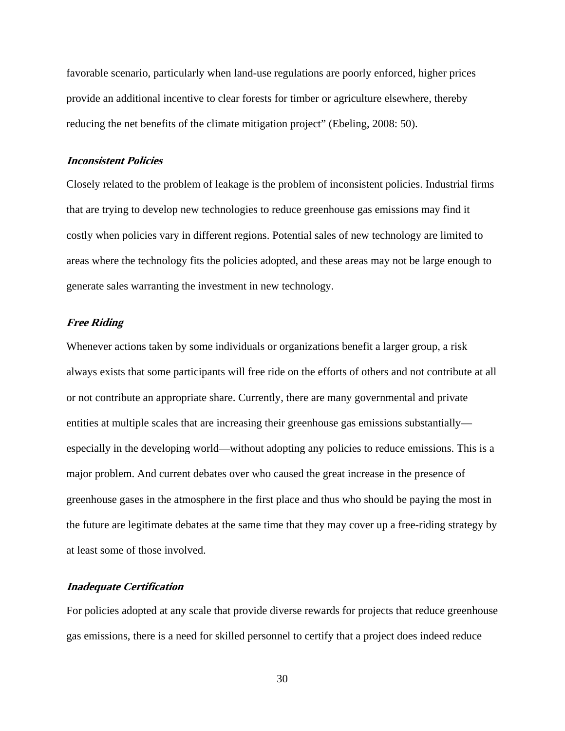favorable scenario, particularly when land-use regulations are poorly enforced, higher prices provide an additional incentive to clear forests for timber or agriculture elsewhere, thereby reducing the net benefits of the climate mitigation project" (Ebeling, 2008: 50).

#### **Inconsistent Policies**

Closely related to the problem of leakage is the problem of inconsistent policies. Industrial firms that are trying to develop new technologies to reduce greenhouse gas emissions may find it costly when policies vary in different regions. Potential sales of new technology are limited to areas where the technology fits the policies adopted, and these areas may not be large enough to generate sales warranting the investment in new technology.

#### **Free Riding**

Whenever actions taken by some individuals or organizations benefit a larger group, a risk always exists that some participants will free ride on the efforts of others and not contribute at all or not contribute an appropriate share. Currently, there are many governmental and private entities at multiple scales that are increasing their greenhouse gas emissions substantially especially in the developing world—without adopting any policies to reduce emissions. This is a major problem. And current debates over who caused the great increase in the presence of greenhouse gases in the atmosphere in the first place and thus who should be paying the most in the future are legitimate debates at the same time that they may cover up a free-riding strategy by at least some of those involved.

#### **Inadequate Certification**

For policies adopted at any scale that provide diverse rewards for projects that reduce greenhouse gas emissions, there is a need for skilled personnel to certify that a project does indeed reduce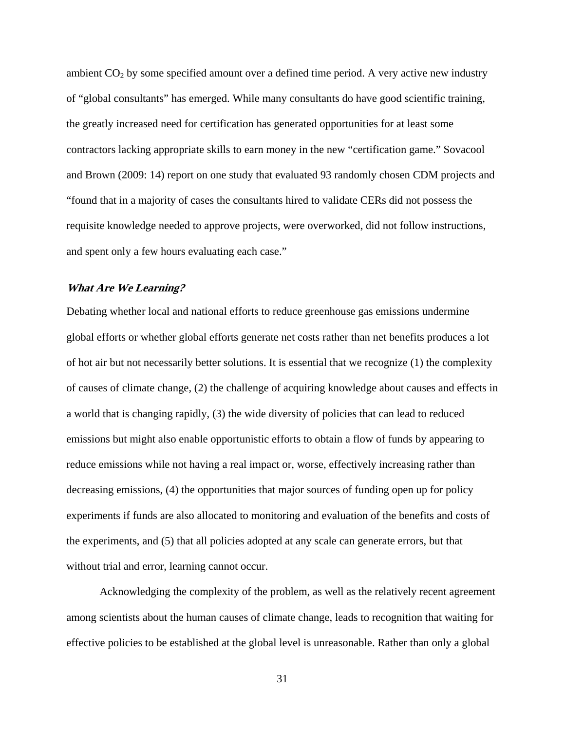ambient  $CO<sub>2</sub>$  by some specified amount over a defined time period. A very active new industry of "global consultants" has emerged. While many consultants do have good scientific training, the greatly increased need for certification has generated opportunities for at least some contractors lacking appropriate skills to earn money in the new "certification game." Sovacool and Brown (2009: 14) report on one study that evaluated 93 randomly chosen CDM projects and "found that in a majority of cases the consultants hired to validate CERs did not possess the requisite knowledge needed to approve projects, were overworked, did not follow instructions, and spent only a few hours evaluating each case."

#### **What Are We Learning?**

Debating whether local and national efforts to reduce greenhouse gas emissions undermine global efforts or whether global efforts generate net costs rather than net benefits produces a lot of hot air but not necessarily better solutions. It is essential that we recognize (1) the complexity of causes of climate change, (2) the challenge of acquiring knowledge about causes and effects in a world that is changing rapidly, (3) the wide diversity of policies that can lead to reduced emissions but might also enable opportunistic efforts to obtain a flow of funds by appearing to reduce emissions while not having a real impact or, worse, effectively increasing rather than decreasing emissions, (4) the opportunities that major sources of funding open up for policy experiments if funds are also allocated to monitoring and evaluation of the benefits and costs of the experiments, and (5) that all policies adopted at any scale can generate errors, but that without trial and error, learning cannot occur.

Acknowledging the complexity of the problem, as well as the relatively recent agreement among scientists about the human causes of climate change, leads to recognition that waiting for effective policies to be established at the global level is unreasonable. Rather than only a global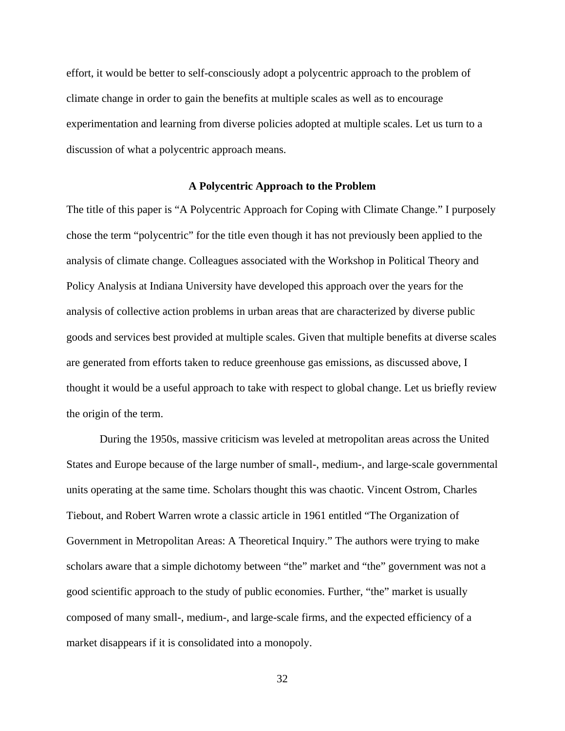effort, it would be better to self-consciously adopt a polycentric approach to the problem of climate change in order to gain the benefits at multiple scales as well as to encourage experimentation and learning from diverse policies adopted at multiple scales. Let us turn to a discussion of what a polycentric approach means.

#### **A Polycentric Approach to the Problem**

The title of this paper is "A Polycentric Approach for Coping with Climate Change." I purposely chose the term "polycentric" for the title even though it has not previously been applied to the analysis of climate change. Colleagues associated with the Workshop in Political Theory and Policy Analysis at Indiana University have developed this approach over the years for the analysis of collective action problems in urban areas that are characterized by diverse public goods and services best provided at multiple scales. Given that multiple benefits at diverse scales are generated from efforts taken to reduce greenhouse gas emissions, as discussed above, I thought it would be a useful approach to take with respect to global change. Let us briefly review the origin of the term.

During the 1950s, massive criticism was leveled at metropolitan areas across the United States and Europe because of the large number of small-, medium-, and large-scale governmental units operating at the same time. Scholars thought this was chaotic. Vincent Ostrom, Charles Tiebout, and Robert Warren wrote a classic article in 1961 entitled "The Organization of Government in Metropolitan Areas: A Theoretical Inquiry." The authors were trying to make scholars aware that a simple dichotomy between "the" market and "the" government was not a good scientific approach to the study of public economies. Further, "the" market is usually composed of many small-, medium-, and large-scale firms, and the expected efficiency of a market disappears if it is consolidated into a monopoly.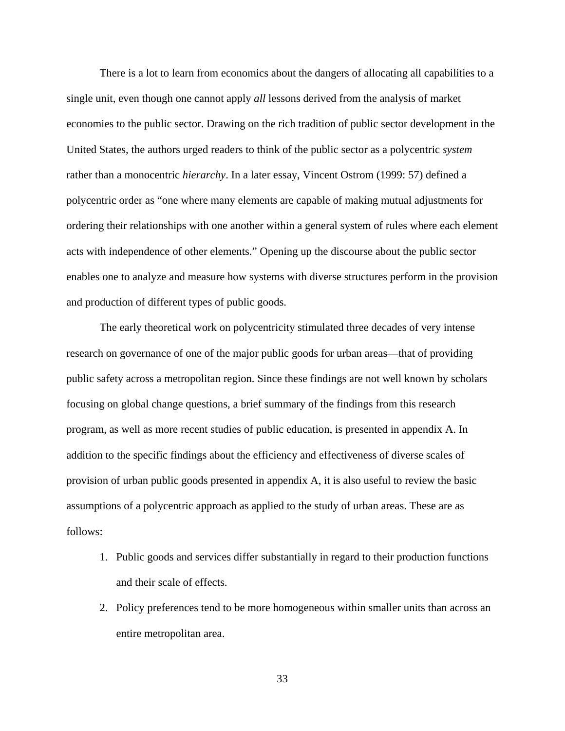There is a lot to learn from economics about the dangers of allocating all capabilities to a single unit, even though one cannot apply *all* lessons derived from the analysis of market economies to the public sector. Drawing on the rich tradition of public sector development in the United States, the authors urged readers to think of the public sector as a polycentric *system* rather than a monocentric *hierarchy*. In a later essay, Vincent Ostrom (1999: 57) defined a polycentric order as "one where many elements are capable of making mutual adjustments for ordering their relationships with one another within a general system of rules where each element acts with independence of other elements." Opening up the discourse about the public sector enables one to analyze and measure how systems with diverse structures perform in the provision and production of different types of public goods.

The early theoretical work on polycentricity stimulated three decades of very intense research on governance of one of the major public goods for urban areas—that of providing public safety across a metropolitan region. Since these findings are not well known by scholars focusing on global change questions, a brief summary of the findings from this research program, as well as more recent studies of public education, is presented in appendix A. In addition to the specific findings about the efficiency and effectiveness of diverse scales of provision of urban public goods presented in appendix A, it is also useful to review the basic assumptions of a polycentric approach as applied to the study of urban areas. These are as follows:

- 1. Public goods and services differ substantially in regard to their production functions and their scale of effects.
- 2. Policy preferences tend to be more homogeneous within smaller units than across an entire metropolitan area.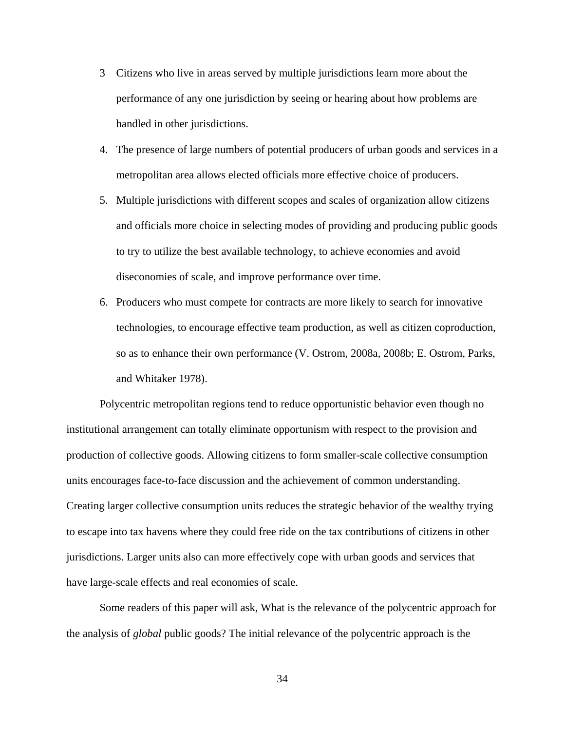- 3 Citizens who live in areas served by multiple jurisdictions learn more about the performance of any one jurisdiction by seeing or hearing about how problems are handled in other jurisdictions.
- 4. The presence of large numbers of potential producers of urban goods and services in a metropolitan area allows elected officials more effective choice of producers.
- 5. Multiple jurisdictions with different scopes and scales of organization allow citizens and officials more choice in selecting modes of providing and producing public goods to try to utilize the best available technology, to achieve economies and avoid diseconomies of scale, and improve performance over time.
- 6. Producers who must compete for contracts are more likely to search for innovative technologies, to encourage effective team production, as well as citizen coproduction, so as to enhance their own performance (V. Ostrom, 2008a, 2008b; E. Ostrom, Parks, and Whitaker 1978).

Polycentric metropolitan regions tend to reduce opportunistic behavior even though no institutional arrangement can totally eliminate opportunism with respect to the provision and production of collective goods. Allowing citizens to form smaller-scale collective consumption units encourages face-to-face discussion and the achievement of common understanding. Creating larger collective consumption units reduces the strategic behavior of the wealthy trying to escape into tax havens where they could free ride on the tax contributions of citizens in other jurisdictions. Larger units also can more effectively cope with urban goods and services that have large-scale effects and real economies of scale.

Some readers of this paper will ask, What is the relevance of the polycentric approach for the analysis of *global* public goods? The initial relevance of the polycentric approach is the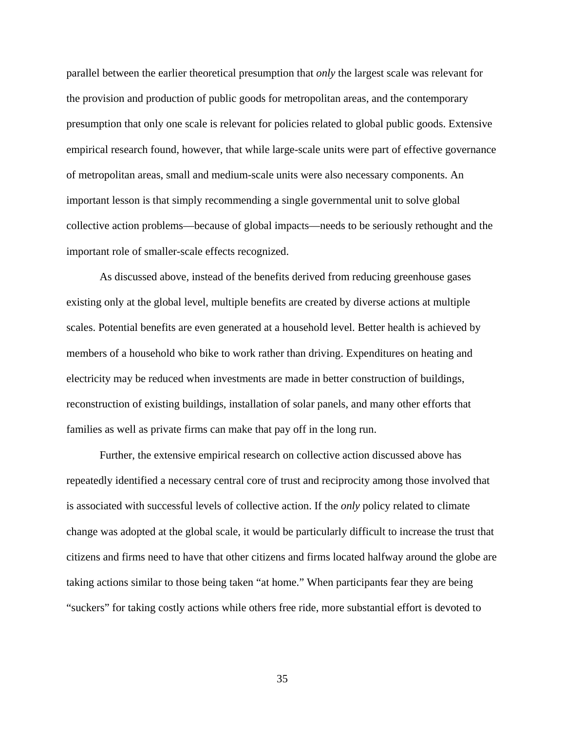parallel between the earlier theoretical presumption that *only* the largest scale was relevant for the provision and production of public goods for metropolitan areas, and the contemporary presumption that only one scale is relevant for policies related to global public goods. Extensive empirical research found, however, that while large-scale units were part of effective governance of metropolitan areas, small and medium-scale units were also necessary components. An important lesson is that simply recommending a single governmental unit to solve global collective action problems—because of global impacts—needs to be seriously rethought and the important role of smaller-scale effects recognized.

As discussed above, instead of the benefits derived from reducing greenhouse gases existing only at the global level, multiple benefits are created by diverse actions at multiple scales. Potential benefits are even generated at a household level. Better health is achieved by members of a household who bike to work rather than driving. Expenditures on heating and electricity may be reduced when investments are made in better construction of buildings, reconstruction of existing buildings, installation of solar panels, and many other efforts that families as well as private firms can make that pay off in the long run.

Further, the extensive empirical research on collective action discussed above has repeatedly identified a necessary central core of trust and reciprocity among those involved that is associated with successful levels of collective action. If the *only* policy related to climate change was adopted at the global scale, it would be particularly difficult to increase the trust that citizens and firms need to have that other citizens and firms located halfway around the globe are taking actions similar to those being taken "at home." When participants fear they are being "suckers" for taking costly actions while others free ride, more substantial effort is devoted to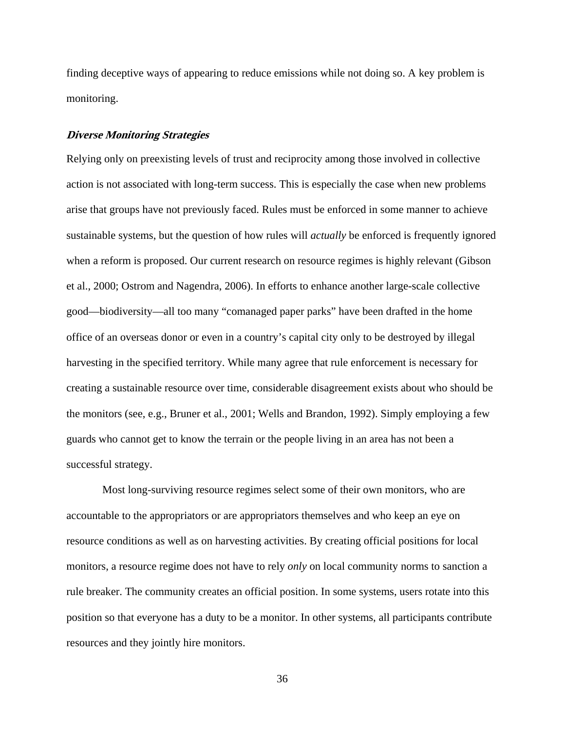finding deceptive ways of appearing to reduce emissions while not doing so. A key problem is monitoring.

#### **Diverse Monitoring Strategies**

Relying only on preexisting levels of trust and reciprocity among those involved in collective action is not associated with long-term success. This is especially the case when new problems arise that groups have not previously faced. Rules must be enforced in some manner to achieve sustainable systems, but the question of how rules will *actually* be enforced is frequently ignored when a reform is proposed. Our current research on resource regimes is highly relevant (Gibson et al., 2000; Ostrom and Nagendra, 2006). In efforts to enhance another large-scale collective good—biodiversity—all too many "comanaged paper parks" have been drafted in the home office of an overseas donor or even in a country's capital city only to be destroyed by illegal harvesting in the specified territory. While many agree that rule enforcement is necessary for creating a sustainable resource over time, considerable disagreement exists about who should be the monitors (see, e.g., Bruner et al., 2001; Wells and Brandon, 1992). Simply employing a few guards who cannot get to know the terrain or the people living in an area has not been a successful strategy.

 Most long-surviving resource regimes select some of their own monitors, who are accountable to the appropriators or are appropriators themselves and who keep an eye on resource conditions as well as on harvesting activities. By creating official positions for local monitors, a resource regime does not have to rely *only* on local community norms to sanction a rule breaker. The community creates an official position. In some systems, users rotate into this position so that everyone has a duty to be a monitor. In other systems, all participants contribute resources and they jointly hire monitors.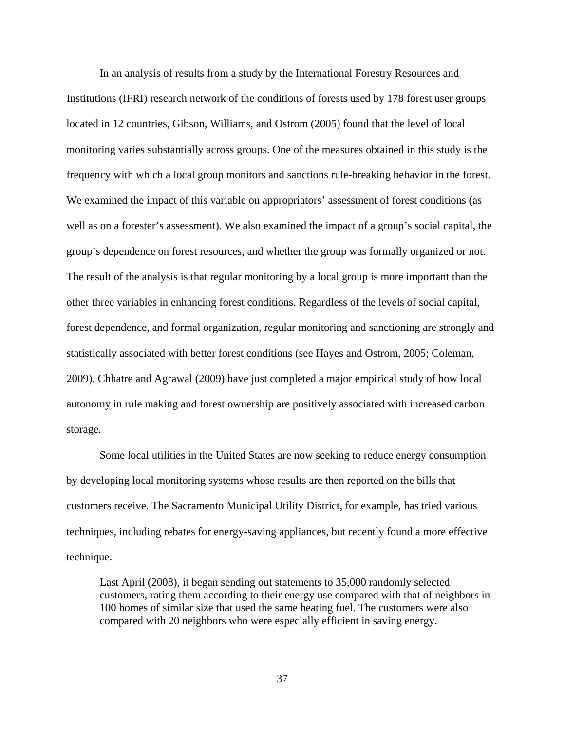In an analysis of results from a study by the International Forestry Resources and Institutions (IFRI) research network of the conditions of forests used by 178 forest user groups located in 12 countries, Gibson, Williams, and Ostrom (2005) found that the level of local monitoring varies substantially across groups. One of the measures obtained in this study is the frequency with which a local group monitors and sanctions rule-breaking behavior in the forest. We examined the impact of this variable on appropriators' assessment of forest conditions (as well as on a forester's assessment). We also examined the impact of a group's social capital, the group's dependence on forest resources, and whether the group was formally organized or not. The result of the analysis is that regular monitoring by a local group is more important than the other three variables in enhancing forest conditions. Regardless of the levels of social capital, forest dependence, and formal organization, regular monitoring and sanctioning are strongly and statistically associated with better forest conditions (see Hayes and Ostrom, 2005; Coleman, 2009). Chhatre and Agrawal (2009) have just completed a major empirical study of how local autonomy in rule making and forest ownership are positively associated with increased carbon storage.

Some local utilities in the United States are now seeking to reduce energy consumption by developing local monitoring systems whose results are then reported on the bills that customers receive. The Sacramento Municipal Utility District, for example, has tried various techniques, including rebates for energy-saving appliances, but recently found a more effective technique.

Last April (2008), it began sending out statements to 35,000 randomly selected customers, rating them according to their energy use compared with that of neighbors in 100 homes of similar size that used the same heating fuel. The customers were also compared with 20 neighbors who were especially efficient in saving energy.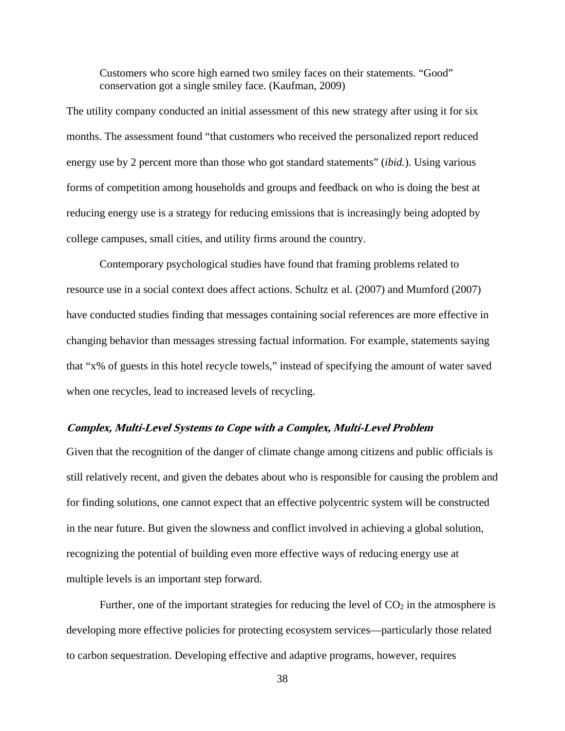Customers who score high earned two smiley faces on their statements. "Good" conservation got a single smiley face. (Kaufman, 2009)

The utility company conducted an initial assessment of this new strategy after using it for six months. The assessment found "that customers who received the personalized report reduced energy use by 2 percent more than those who got standard statements" (*ibid.*). Using various forms of competition among households and groups and feedback on who is doing the best at reducing energy use is a strategy for reducing emissions that is increasingly being adopted by college campuses, small cities, and utility firms around the country.

Contemporary psychological studies have found that framing problems related to resource use in a social context does affect actions. Schultz et al. (2007) and Mumford (2007) have conducted studies finding that messages containing social references are more effective in changing behavior than messages stressing factual information. For example, statements saying that "x% of guests in this hotel recycle towels," instead of specifying the amount of water saved when one recycles, lead to increased levels of recycling.

#### **Complex, Multi-Level Systems to Cope with a Complex, Multi-Level Problem**

Given that the recognition of the danger of climate change among citizens and public officials is still relatively recent, and given the debates about who is responsible for causing the problem and for finding solutions, one cannot expect that an effective polycentric system will be constructed in the near future. But given the slowness and conflict involved in achieving a global solution, recognizing the potential of building even more effective ways of reducing energy use at multiple levels is an important step forward.

Further, one of the important strategies for reducing the level of  $CO<sub>2</sub>$  in the atmosphere is developing more effective policies for protecting ecosystem services—particularly those related to carbon sequestration. Developing effective and adaptive programs, however, requires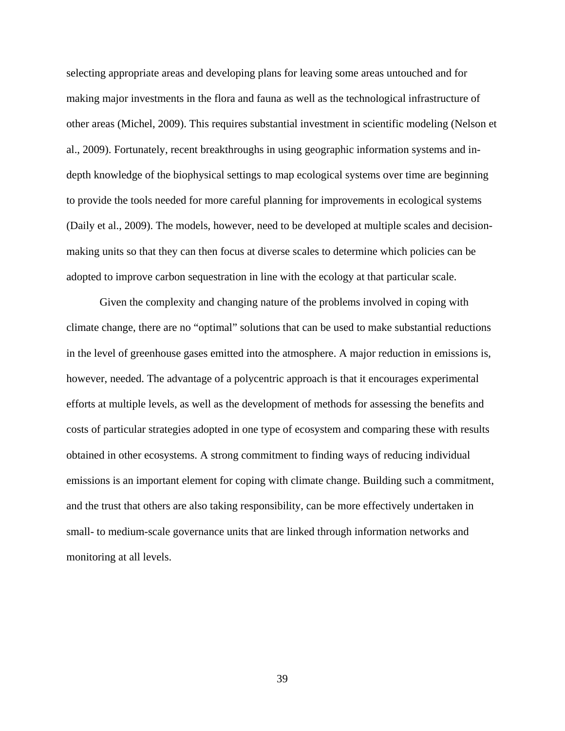selecting appropriate areas and developing plans for leaving some areas untouched and for making major investments in the flora and fauna as well as the technological infrastructure of other areas (Michel, 2009). This requires substantial investment in scientific modeling (Nelson et al., 2009). Fortunately, recent breakthroughs in using geographic information systems and indepth knowledge of the biophysical settings to map ecological systems over time are beginning to provide the tools needed for more careful planning for improvements in ecological systems (Daily et al., 2009). The models, however, need to be developed at multiple scales and decisionmaking units so that they can then focus at diverse scales to determine which policies can be adopted to improve carbon sequestration in line with the ecology at that particular scale.

Given the complexity and changing nature of the problems involved in coping with climate change, there are no "optimal" solutions that can be used to make substantial reductions in the level of greenhouse gases emitted into the atmosphere. A major reduction in emissions is, however, needed. The advantage of a polycentric approach is that it encourages experimental efforts at multiple levels, as well as the development of methods for assessing the benefits and costs of particular strategies adopted in one type of ecosystem and comparing these with results obtained in other ecosystems. A strong commitment to finding ways of reducing individual emissions is an important element for coping with climate change. Building such a commitment, and the trust that others are also taking responsibility, can be more effectively undertaken in small- to medium-scale governance units that are linked through information networks and monitoring at all levels.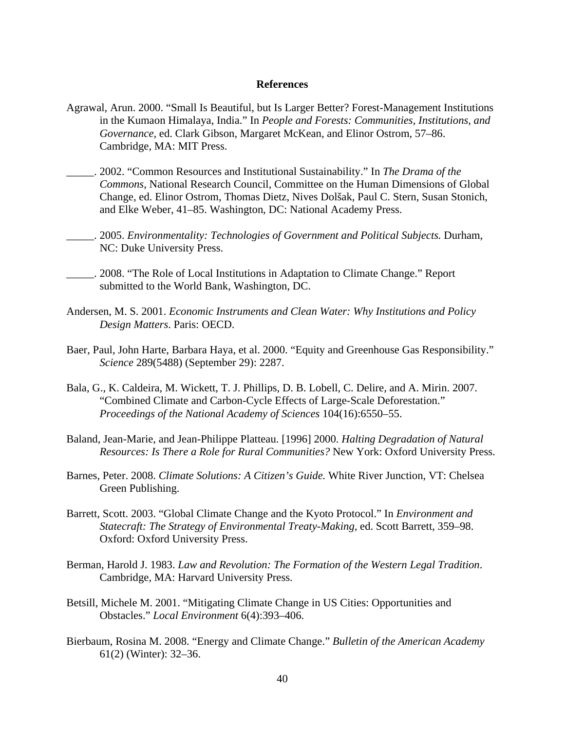#### **References**

- Agrawal, Arun. 2000. "Small Is Beautiful, but Is Larger Better? Forest-Management Institutions in the Kumaon Himalaya, India." In *People and Forests: Communities, Institutions, and Governance,* ed. Clark Gibson, Margaret McKean, and Elinor Ostrom, 57–86. Cambridge, MA: MIT Press.
- \_\_\_\_\_. 2002. "Common Resources and Institutional Sustainability." In *The Drama of the Commons*, National Research Council, Committee on the Human Dimensions of Global Change, ed. Elinor Ostrom, Thomas Dietz, Nives Dolšak, Paul C. Stern, Susan Stonich, and Elke Weber, 41–85. Washington, DC: National Academy Press.
- \_\_\_\_\_. 2005. *Environmentality: Technologies of Government and Political Subjects.* Durham, NC: Duke University Press.
- \_\_\_\_\_. 2008. "The Role of Local Institutions in Adaptation to Climate Change." Report submitted to the World Bank, Washington, DC.
- Andersen, M. S. 2001. *Economic Instruments and Clean Water: Why Institutions and Policy Design Matters*. Paris: OECD.
- Baer, Paul, John Harte, Barbara Haya, et al. 2000. "Equity and Greenhouse Gas Responsibility." *Science* 289(5488) (September 29): 2287.
- Bala, G., K. Caldeira, M. Wickett, T. J. Phillips, D. B. Lobell, C. Delire, and A. Mirin. 2007. "Combined Climate and Carbon-Cycle Effects of Large-Scale Deforestation." *Proceedings of the National Academy of Sciences* 104(16):6550–55.
- Baland, Jean-Marie, and Jean-Philippe Platteau. [1996] 2000. *Halting Degradation of Natural Resources: Is There a Role for Rural Communities?* New York: Oxford University Press.
- Barnes, Peter. 2008. *Climate Solutions: A Citizen's Guide.* White River Junction, VT: Chelsea Green Publishing.
- Barrett, Scott. 2003. "Global Climate Change and the Kyoto Protocol." In *Environment and Statecraft: The Strategy of Environmental Treaty-Making,* ed. Scott Barrett, 359–98. Oxford: Oxford University Press.
- Berman, Harold J. 1983. *Law and Revolution: The Formation of the Western Legal Tradition*. Cambridge, MA: Harvard University Press.
- Betsill, Michele M. 2001. "Mitigating Climate Change in US Cities: Opportunities and Obstacles." *Local Environment* 6(4):393–406.
- Bierbaum, Rosina M. 2008. "Energy and Climate Change." *Bulletin of the American Academy* 61(2) (Winter): 32–36.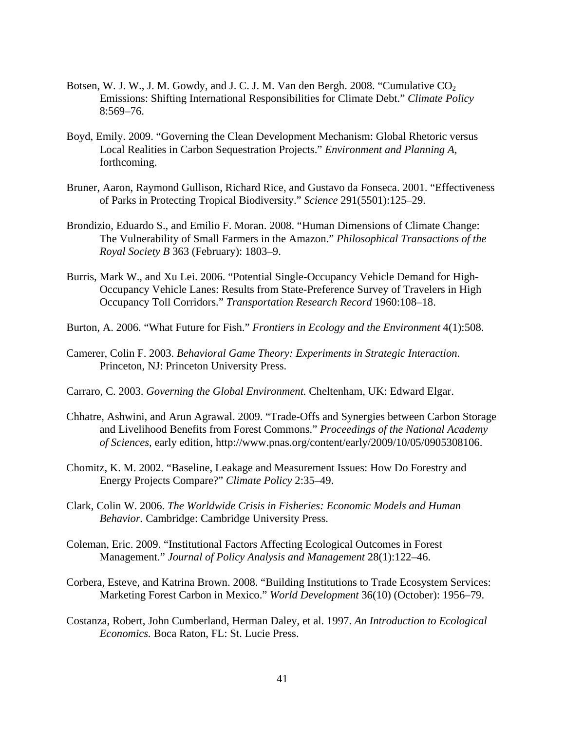- Botsen, W. J. W., J. M. Gowdy, and J. C. J. M. Van den Bergh. 2008. "Cumulative  $CO<sub>2</sub>$ Emissions: Shifting International Responsibilities for Climate Debt." *Climate Policy* 8:569–76.
- Boyd, Emily. 2009. "Governing the Clean Development Mechanism: Global Rhetoric versus Local Realities in Carbon Sequestration Projects." *Environment and Planning A,* forthcoming.
- Bruner, Aaron, Raymond Gullison, Richard Rice, and Gustavo da Fonseca. 2001. "Effectiveness of Parks in Protecting Tropical Biodiversity." *Science* 291(5501):125–29.
- Brondizio, Eduardo S., and Emilio F. Moran. 2008. "Human Dimensions of Climate Change: The Vulnerability of Small Farmers in the Amazon." *Philosophical Transactions of the Royal Society B* 363 (February): 1803–9.
- Burris, Mark W., and Xu Lei. 2006. "Potential Single-Occupancy Vehicle Demand for High-Occupancy Vehicle Lanes: Results from State-Preference Survey of Travelers in High Occupancy Toll Corridors." *Transportation Research Record* 1960:108–18.
- Burton, A. 2006. "What Future for Fish." *Frontiers in Ecology and the Environment* 4(1):508.
- Camerer, Colin F. 2003. *Behavioral Game Theory: Experiments in Strategic Interaction*. Princeton, NJ: Princeton University Press.
- Carraro, C. 2003. *Governing the Global Environment.* Cheltenham, UK: Edward Elgar.
- Chhatre, Ashwini, and Arun Agrawal. 2009. "Trade-Offs and Synergies between Carbon Storage and Livelihood Benefits from Forest Commons." *Proceedings of the National Academy of Sciences*, early edition, http://www.pnas.org/content/early/2009/10/05/0905308106.
- Chomitz, K. M. 2002. "Baseline, Leakage and Measurement Issues: How Do Forestry and Energy Projects Compare?" *Climate Policy* 2:35–49.
- Clark, Colin W. 2006. *The Worldwide Crisis in Fisheries: Economic Models and Human Behavior.* Cambridge: Cambridge University Press.
- Coleman, Eric. 2009. "Institutional Factors Affecting Ecological Outcomes in Forest Management." *Journal of Policy Analysis and Management* 28(1):122–46.
- Corbera, Esteve, and Katrina Brown. 2008. "Building Institutions to Trade Ecosystem Services: Marketing Forest Carbon in Mexico." *World Development* 36(10) (October): 1956–79.
- Costanza, Robert, John Cumberland, Herman Daley, et al. 1997. *An Introduction to Ecological Economics.* Boca Raton, FL: St. Lucie Press.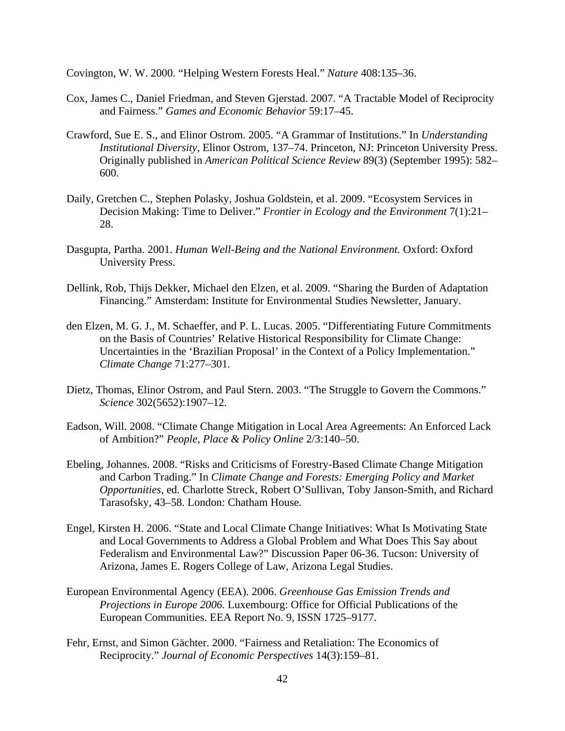Covington, W. W. 2000. "Helping Western Forests Heal." *Nature* 408:135–36.

- Cox, James C., Daniel Friedman, and Steven Gjerstad. 2007. "A Tractable Model of Reciprocity and Fairness." *Games and Economic Behavior* 59:17–45.
- Crawford, Sue E. S., and Elinor Ostrom. 2005. "A Grammar of Institutions." In *Understanding Institutional Diversity*, Elinor Ostrom, 137–74. Princeton, NJ: Princeton University Press. Originally published in *American Political Science Review* 89(3) (September 1995): 582– 600.
- Daily, Gretchen C., Stephen Polasky, Joshua Goldstein, et al. 2009. "Ecosystem Services in Decision Making: Time to Deliver." *Frontier in Ecology and the Environment* 7(1):21– 28.
- Dasgupta, Partha. 2001. *Human Well-Being and the National Environment.* Oxford: Oxford University Press.
- Dellink, Rob, Thijs Dekker, Michael den Elzen, et al. 2009. "Sharing the Burden of Adaptation Financing." Amsterdam: Institute for Environmental Studies Newsletter, January.
- den Elzen, M. G. J., M. Schaeffer, and P. L. Lucas. 2005. "Differentiating Future Commitments on the Basis of Countries' Relative Historical Responsibility for Climate Change: Uncertainties in the 'Brazilian Proposal' in the Context of a Policy Implementation." *Climate Change* 71:277–301.
- Dietz, Thomas, Elinor Ostrom, and Paul Stern. 2003. "The Struggle to Govern the Commons." *Science* 302(5652):1907–12.
- Eadson, Will. 2008. "Climate Change Mitigation in Local Area Agreements: An Enforced Lack of Ambition?" *People, Place & Policy Online* 2/3:140–50.
- Ebeling, Johannes. 2008. "Risks and Criticisms of Forestry-Based Climate Change Mitigation and Carbon Trading." In *Climate Change and Forests: Emerging Policy and Market Opportunities,* ed. Charlotte Streck, Robert O'Sullivan, Toby Janson-Smith, and Richard Tarasofsky, 43–58. London: Chatham House.
- Engel, Kirsten H. 2006. "State and Local Climate Change Initiatives: What Is Motivating State and Local Governments to Address a Global Problem and What Does This Say about Federalism and Environmental Law?" Discussion Paper 06-36. Tucson: University of Arizona, James E. Rogers College of Law, Arizona Legal Studies.
- European Environmental Agency (EEA). 2006. *Greenhouse Gas Emission Trends and Projections in Europe 2006.* Luxembourg: Office for Official Publications of the European Communities. EEA Report No. 9, ISSN 1725–9177.
- Fehr, Ernst, and Simon Gächter. 2000. "Fairness and Retaliation: The Economics of Reciprocity." *Journal of Economic Perspectives* 14(3):159–81.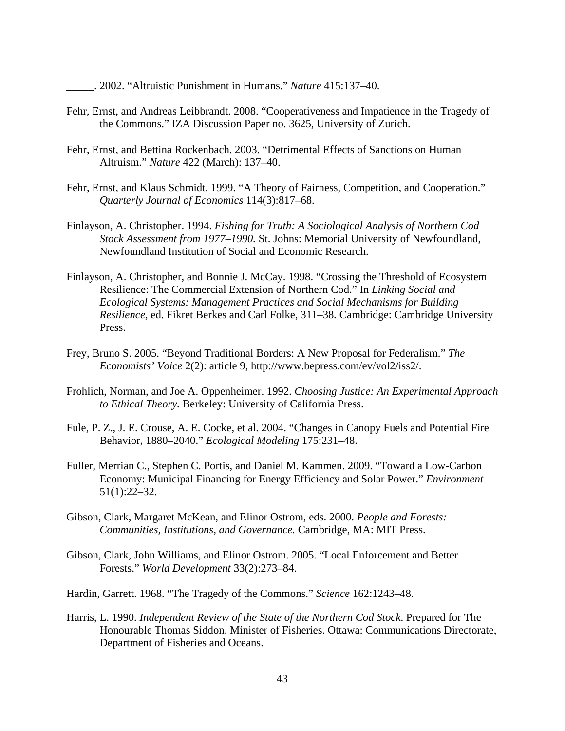\_\_\_\_\_. 2002. "Altruistic Punishment in Humans." *Nature* 415:137–40.

- Fehr, Ernst, and Andreas Leibbrandt. 2008. "Cooperativeness and Impatience in the Tragedy of the Commons." IZA Discussion Paper no. 3625, University of Zurich.
- Fehr, Ernst, and Bettina Rockenbach. 2003. "Detrimental Effects of Sanctions on Human Altruism." *Nature* 422 (March): 137–40.
- Fehr, Ernst, and Klaus Schmidt. 1999. "A Theory of Fairness, Competition, and Cooperation." *Quarterly Journal of Economics* 114(3):817–68.
- Finlayson, A. Christopher. 1994. *Fishing for Truth: A Sociological Analysis of Northern Cod Stock Assessment from 1977–1990.* St. Johns: Memorial University of Newfoundland, Newfoundland Institution of Social and Economic Research.
- Finlayson, A. Christopher, and Bonnie J. McCay. 1998. "Crossing the Threshold of Ecosystem Resilience: The Commercial Extension of Northern Cod." In *Linking Social and Ecological Systems: Management Practices and Social Mechanisms for Building Resilience,* ed. Fikret Berkes and Carl Folke, 311–38*.* Cambridge: Cambridge University Press.
- Frey, Bruno S. 2005. "Beyond Traditional Borders: A New Proposal for Federalism." *The Economists' Voice* 2(2): article 9, http://www.bepress.com/ev/vol2/iss2/.
- Frohlich, Norman, and Joe A. Oppenheimer. 1992. *Choosing Justice: An Experimental Approach to Ethical Theory.* Berkeley: University of California Press.
- Fule, P. Z., J. E. Crouse, A. E. Cocke, et al. 2004. "Changes in Canopy Fuels and Potential Fire Behavior, 1880–2040." *Ecological Modeling* 175:231–48.
- Fuller, Merrian C., Stephen C. Portis, and Daniel M. Kammen. 2009. "Toward a Low-Carbon Economy: Municipal Financing for Energy Efficiency and Solar Power." *Environment* 51(1):22–32.
- Gibson, Clark, Margaret McKean, and Elinor Ostrom, eds. 2000. *People and Forests: Communities, Institutions, and Governance.* Cambridge, MA: MIT Press.
- Gibson, Clark, John Williams, and Elinor Ostrom. 2005. "Local Enforcement and Better Forests." *World Development* 33(2):273–84.
- Hardin, Garrett. 1968. "The Tragedy of the Commons." *Science* 162:1243–48.
- Harris, L. 1990. *Independent Review of the State of the Northern Cod Stock*. Prepared for The Honourable Thomas Siddon, Minister of Fisheries. Ottawa: Communications Directorate, Department of Fisheries and Oceans.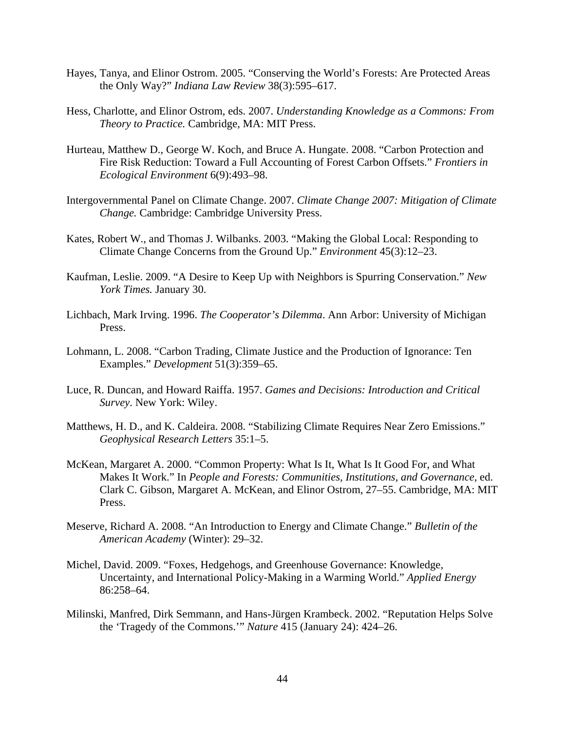- Hayes, Tanya, and Elinor Ostrom. 2005. "Conserving the World's Forests: Are Protected Areas the Only Way?" *Indiana Law Review* 38(3):595–617.
- Hess, Charlotte, and Elinor Ostrom, eds. 2007. *Understanding Knowledge as a Commons: From Theory to Practice.* Cambridge, MA: MIT Press.
- Hurteau, Matthew D., George W. Koch, and Bruce A. Hungate. 2008. "Carbon Protection and Fire Risk Reduction: Toward a Full Accounting of Forest Carbon Offsets." *Frontiers in Ecological Environment* 6(9):493–98.
- Intergovernmental Panel on Climate Change. 2007. *Climate Change 2007: Mitigation of Climate Change.* Cambridge: Cambridge University Press.
- Kates, Robert W., and Thomas J. Wilbanks. 2003. "Making the Global Local: Responding to Climate Change Concerns from the Ground Up." *Environment* 45(3):12–23.
- Kaufman, Leslie. 2009. "A Desire to Keep Up with Neighbors is Spurring Conservation." *New York Times.* January 30.
- Lichbach, Mark Irving. 1996. *The Cooperator's Dilemma*. Ann Arbor: University of Michigan Press.
- Lohmann, L. 2008. "Carbon Trading, Climate Justice and the Production of Ignorance: Ten Examples." *Development* 51(3):359–65.
- Luce, R. Duncan, and Howard Raiffa. 1957. *Games and Decisions: Introduction and Critical Survey*. New York: Wiley.
- Matthews, H. D., and K. Caldeira. 2008. "Stabilizing Climate Requires Near Zero Emissions." *Geophysical Research Letters* 35:1–5.
- McKean, Margaret A. 2000. "Common Property: What Is It, What Is It Good For, and What Makes It Work." In *People and Forests: Communities, Institutions, and Governance*, ed. Clark C. Gibson, Margaret A. McKean, and Elinor Ostrom, 27–55. Cambridge, MA: MIT Press.
- Meserve, Richard A. 2008. "An Introduction to Energy and Climate Change." *Bulletin of the American Academy* (Winter): 29–32.
- Michel, David. 2009. "Foxes, Hedgehogs, and Greenhouse Governance: Knowledge, Uncertainty, and International Policy-Making in a Warming World." *Applied Energy* 86:258–64.
- Milinski, Manfred, Dirk Semmann, and Hans-Jürgen Krambeck. 2002. "Reputation Helps Solve the 'Tragedy of the Commons.'" *Nature* 415 (January 24): 424–26.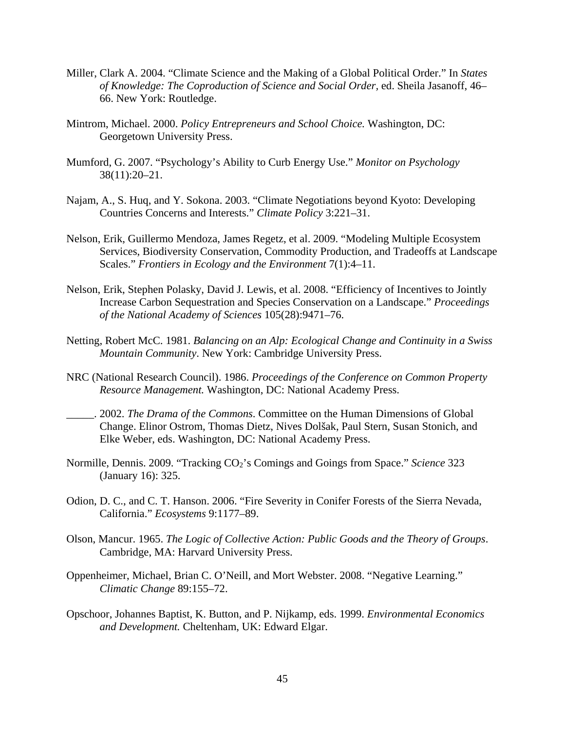- Miller, Clark A. 2004. "Climate Science and the Making of a Global Political Order." In *States of Knowledge: The Coproduction of Science and Social Order,* ed. Sheila Jasanoff, 46– 66. New York: Routledge.
- Mintrom, Michael. 2000. *Policy Entrepreneurs and School Choice.* Washington, DC: Georgetown University Press.
- Mumford, G. 2007. "Psychology's Ability to Curb Energy Use." *Monitor on Psychology*  38(11):20–21.
- Najam, A., S. Huq, and Y. Sokona. 2003. "Climate Negotiations beyond Kyoto: Developing Countries Concerns and Interests." *Climate Policy* 3:221–31.
- Nelson, Erik, Guillermo Mendoza, James Regetz, et al. 2009. "Modeling Multiple Ecosystem Services, Biodiversity Conservation, Commodity Production, and Tradeoffs at Landscape Scales." *Frontiers in Ecology and the Environment* 7(1):4–11.
- Nelson, Erik, Stephen Polasky, David J. Lewis, et al. 2008. "Efficiency of Incentives to Jointly Increase Carbon Sequestration and Species Conservation on a Landscape." *Proceedings of the National Academy of Sciences* 105(28):9471–76.
- Netting, Robert McC. 1981. *Balancing on an Alp: Ecological Change and Continuity in a Swiss Mountain Community*. New York: Cambridge University Press.
- NRC (National Research Council). 1986. *Proceedings of the Conference on Common Property Resource Management.* Washington, DC: National Academy Press.
- \_\_\_\_\_. 2002. *The Drama of the Commons*. Committee on the Human Dimensions of Global Change. Elinor Ostrom, Thomas Dietz, Nives Dolšak, Paul Stern, Susan Stonich, and Elke Weber, eds. Washington, DC: National Academy Press.
- Normille, Dennis. 2009. "Tracking CO<sub>2</sub>'s Comings and Goings from Space." *Science* 323 (January 16): 325.
- Odion, D. C., and C. T. Hanson. 2006. "Fire Severity in Conifer Forests of the Sierra Nevada, California." *Ecosystems* 9:1177–89.
- Olson, Mancur. 1965. *The Logic of Collective Action: Public Goods and the Theory of Groups*. Cambridge, MA: Harvard University Press.
- Oppenheimer, Michael, Brian C. O'Neill, and Mort Webster. 2008. "Negative Learning." *Climatic Change* 89:155–72.
- Opschoor, Johannes Baptist, K. Button, and P. Nijkamp, eds. 1999. *Environmental Economics and Development.* Cheltenham, UK: Edward Elgar.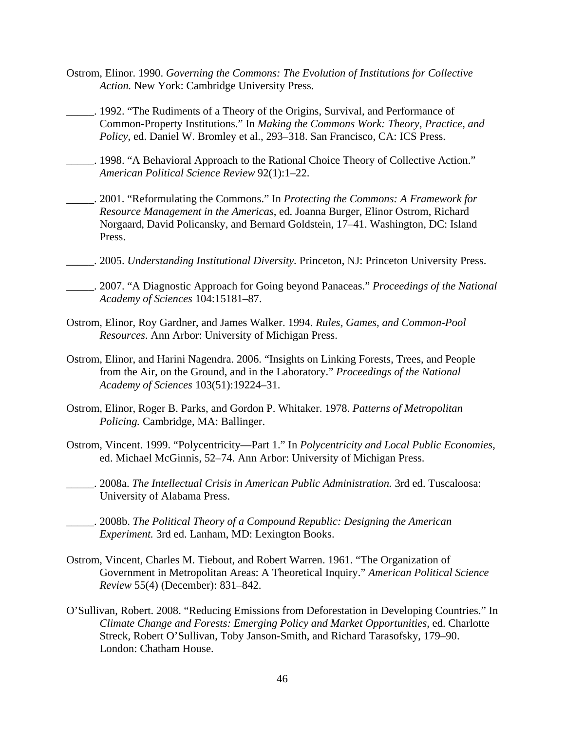- Ostrom, Elinor. 1990. *Governing the Commons: The Evolution of Institutions for Collective Action.* New York: Cambridge University Press.
- \_\_\_\_\_. 1992. "The Rudiments of a Theory of the Origins, Survival, and Performance of Common-Property Institutions." In *Making the Commons Work: Theory, Practice, and Policy*, ed. Daniel W. Bromley et al., 293–318. San Francisco, CA: ICS Press.
- \_\_\_\_\_. 1998. "A Behavioral Approach to the Rational Choice Theory of Collective Action." *American Political Science Review* 92(1):1–22.
- \_\_\_\_\_. 2001. "Reformulating the Commons." In *Protecting the Commons: A Framework for Resource Management in the Americas*, ed. Joanna Burger, Elinor Ostrom, Richard Norgaard, David Policansky, and Bernard Goldstein, 17–41. Washington, DC: Island Press.
- \_\_\_\_\_. 2005. *Understanding Institutional Diversity.* Princeton, NJ: Princeton University Press.
- \_\_\_\_\_. 2007. "A Diagnostic Approach for Going beyond Panaceas." *Proceedings of the National Academy of Sciences* 104:15181–87.
- Ostrom, Elinor, Roy Gardner, and James Walker. 1994. *Rules, Games, and Common-Pool Resources*. Ann Arbor: University of Michigan Press.
- Ostrom, Elinor, and Harini Nagendra. 2006. "Insights on Linking Forests, Trees, and People from the Air, on the Ground, and in the Laboratory." *Proceedings of the National Academy of Sciences* 103(51):19224–31.
- Ostrom, Elinor, Roger B. Parks, and Gordon P. Whitaker. 1978. *Patterns of Metropolitan Policing.* Cambridge, MA: Ballinger.
- Ostrom, Vincent. 1999. "Polycentricity—Part 1." In *Polycentricity and Local Public Economies,* ed. Michael McGinnis, 52–74. Ann Arbor: University of Michigan Press.
- \_\_\_\_\_. 2008a. *The Intellectual Crisis in American Public Administration.* 3rd ed. Tuscaloosa: University of Alabama Press.
- \_\_\_\_\_. 2008b. *The Political Theory of a Compound Republic: Designing the American Experiment.* 3rd ed. Lanham, MD: Lexington Books.
- Ostrom, Vincent, Charles M. Tiebout, and Robert Warren. 1961. "The Organization of Government in Metropolitan Areas: A Theoretical Inquiry." *American Political Science Review* 55(4) (December): 831–842.
- O'Sullivan, Robert. 2008. "Reducing Emissions from Deforestation in Developing Countries." In *Climate Change and Forests: Emerging Policy and Market Opportunities,* ed. Charlotte Streck, Robert O'Sullivan, Toby Janson-Smith, and Richard Tarasofsky, 179–90. London: Chatham House.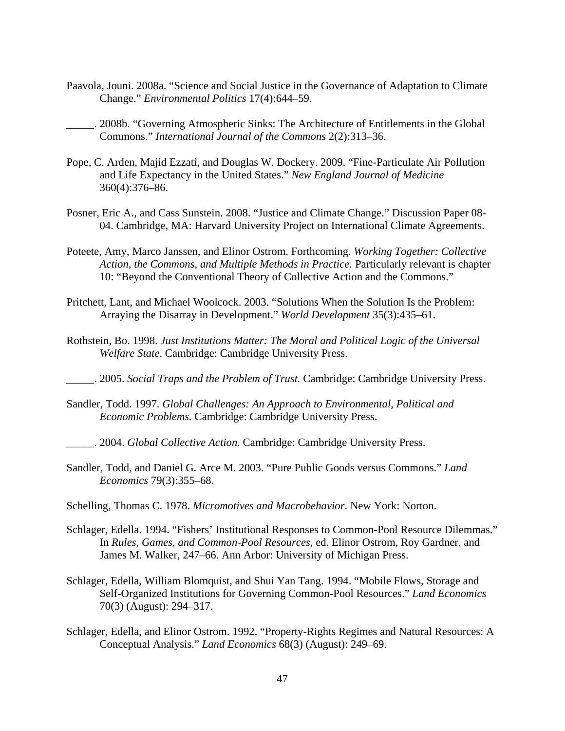Paavola, Jouni. 2008a. "Science and Social Justice in the Governance of Adaptation to Climate Change." *Environmental Politics* 17(4):644–59.

\_\_\_\_\_. 2008b. "Governing Atmospheric Sinks: The Architecture of Entitlements in the Global Commons." *International Journal of the Commons* 2(2):313–36.

- Pope, C. Arden, Majid Ezzati, and Douglas W. Dockery. 2009. "Fine-Particulate Air Pollution and Life Expectancy in the United States." *New England Journal of Medicine* 360(4):376–86.
- Posner, Eric A., and Cass Sunstein. 2008. "Justice and Climate Change." Discussion Paper 08- 04. Cambridge, MA: Harvard University Project on International Climate Agreements.
- Poteete, Amy, Marco Janssen, and Elinor Ostrom. Forthcoming. *Working Together: Collective Action, the Commons, and Multiple Methods in Practice.* Particularly relevant is chapter 10: "Beyond the Conventional Theory of Collective Action and the Commons."
- Pritchett, Lant, and Michael Woolcock. 2003. "Solutions When the Solution Is the Problem: Arraying the Disarray in Development." *World Development* 35(3):435–61.
- Rothstein, Bo. 1998. *Just Institutions Matter: The Moral and Political Logic of the Universal Welfare State*. Cambridge: Cambridge University Press.

\_\_\_\_\_. 2005. *Social Traps and the Problem of Trust.* Cambridge: Cambridge University Press.

- Sandler, Todd. 1997. *Global Challenges: An Approach to Environmental, Political and Economic Problems.* Cambridge: Cambridge University Press.
- \_\_\_\_\_. 2004. *Global Collective Action.* Cambridge: Cambridge University Press.
- Sandler, Todd, and Daniel G. Arce M. 2003. "Pure Public Goods versus Commons." *Land Economics* 79(3):355–68.

Schelling, Thomas C. 1978. *Micromotives and Macrobehavior*. New York: Norton.

- Schlager, Edella. 1994. "Fishers' Institutional Responses to Common-Pool Resource Dilemmas." In *Rules, Games, and Common-Pool Resources,* ed. Elinor Ostrom, Roy Gardner, and James M. Walker, 247–66. Ann Arbor: University of Michigan Press.
- Schlager, Edella, William Blomquist, and Shui Yan Tang. 1994. "Mobile Flows, Storage and Self-Organized Institutions for Governing Common-Pool Resources." *Land Economics* 70(3) (August): 294–317.
- Schlager, Edella, and Elinor Ostrom. 1992. "Property-Rights Regimes and Natural Resources: A Conceptual Analysis." *Land Economics* 68(3) (August): 249–69.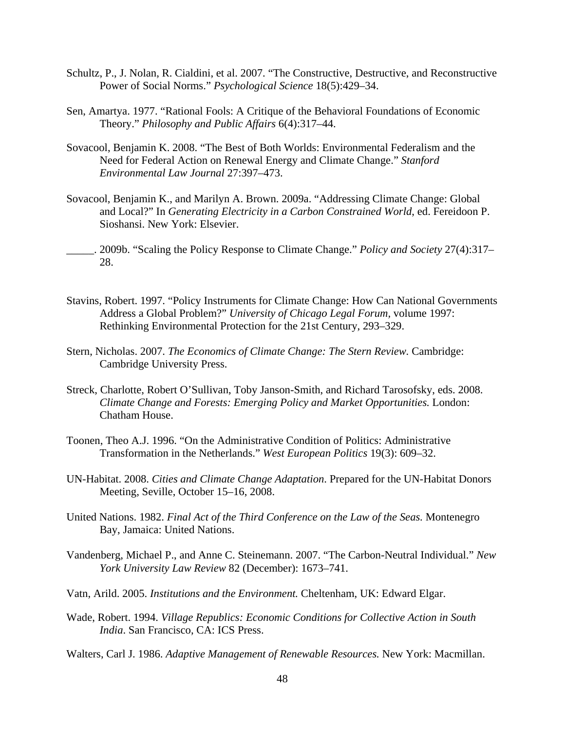- Schultz, P., J. Nolan, R. Cialdini, et al. 2007. "The Constructive, Destructive, and Reconstructive Power of Social Norms." *Psychological Science* 18(5):429–34.
- Sen, Amartya. 1977. "Rational Fools: A Critique of the Behavioral Foundations of Economic Theory." *Philosophy and Public Affairs* 6(4):317–44.
- Sovacool, Benjamin K. 2008. "The Best of Both Worlds: Environmental Federalism and the Need for Federal Action on Renewal Energy and Climate Change." *Stanford Environmental Law Journal* 27:397–473.
- Sovacool, Benjamin K., and Marilyn A. Brown. 2009a. "Addressing Climate Change: Global and Local?" In *Generating Electricity in a Carbon Constrained World*, ed. Fereidoon P. Sioshansi. New York: Elsevier.

\_\_\_\_\_. 2009b. "Scaling the Policy Response to Climate Change." *Policy and Society* 27(4):317– 28.

- Stavins, Robert. 1997. "Policy Instruments for Climate Change: How Can National Governments Address a Global Problem?" *University of Chicago Legal Forum,* volume 1997: Rethinking Environmental Protection for the 21st Century, 293–329.
- Stern, Nicholas. 2007. *The Economics of Climate Change: The Stern Review.* Cambridge: Cambridge University Press.
- Streck, Charlotte, Robert O'Sullivan, Toby Janson-Smith, and Richard Tarosofsky, eds. 2008. *Climate Change and Forests: Emerging Policy and Market Opportunities.* London: Chatham House.
- Toonen, Theo A.J. 1996. "On the Administrative Condition of Politics: Administrative Transformation in the Netherlands." *West European Politics* 19(3): 609–32.
- UN-Habitat. 2008. *Cities and Climate Change Adaptation*. Prepared for the UN-Habitat Donors Meeting, Seville, October 15–16, 2008.
- United Nations. 1982. *Final Act of the Third Conference on the Law of the Seas.* Montenegro Bay, Jamaica: United Nations.
- Vandenberg, Michael P., and Anne C. Steinemann. 2007. "The Carbon-Neutral Individual." *New York University Law Review* 82 (December): 1673–741.
- Vatn, Arild. 2005. *Institutions and the Environment.* Cheltenham, UK: Edward Elgar.
- Wade, Robert. 1994. *Village Republics: Economic Conditions for Collective Action in South India*. San Francisco, CA: ICS Press.

Walters, Carl J. 1986. *Adaptive Management of Renewable Resources.* New York: Macmillan.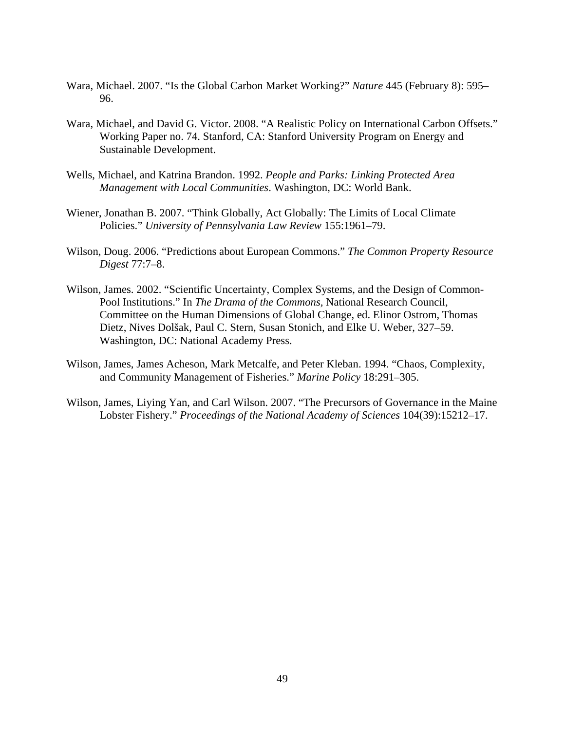- Wara, Michael. 2007. "Is the Global Carbon Market Working?" *Nature* 445 (February 8): 595– 96.
- Wara, Michael, and David G. Victor. 2008. "A Realistic Policy on International Carbon Offsets." Working Paper no. 74. Stanford, CA: Stanford University Program on Energy and Sustainable Development.
- Wells, Michael, and Katrina Brandon. 1992. *People and Parks: Linking Protected Area Management with Local Communities*. Washington, DC: World Bank.
- Wiener, Jonathan B. 2007. "Think Globally, Act Globally: The Limits of Local Climate Policies." *University of Pennsylvania Law Review* 155:1961–79.
- Wilson, Doug. 2006. "Predictions about European Commons." *The Common Property Resource Digest* 77:7–8.
- Wilson, James. 2002. "Scientific Uncertainty, Complex Systems, and the Design of Common-Pool Institutions." In *The Drama of the Commons,* National Research Council, Committee on the Human Dimensions of Global Change, ed. Elinor Ostrom, Thomas Dietz, Nives Dolšak, Paul C. Stern, Susan Stonich, and Elke U. Weber, 327–59. Washington, DC: National Academy Press.
- Wilson, James, James Acheson, Mark Metcalfe, and Peter Kleban. 1994. "Chaos, Complexity, and Community Management of Fisheries." *Marine Policy* 18:291–305.
- Wilson, James, Liying Yan, and Carl Wilson. 2007. "The Precursors of Governance in the Maine Lobster Fishery." *Proceedings of the National Academy of Sciences* 104(39):15212–17.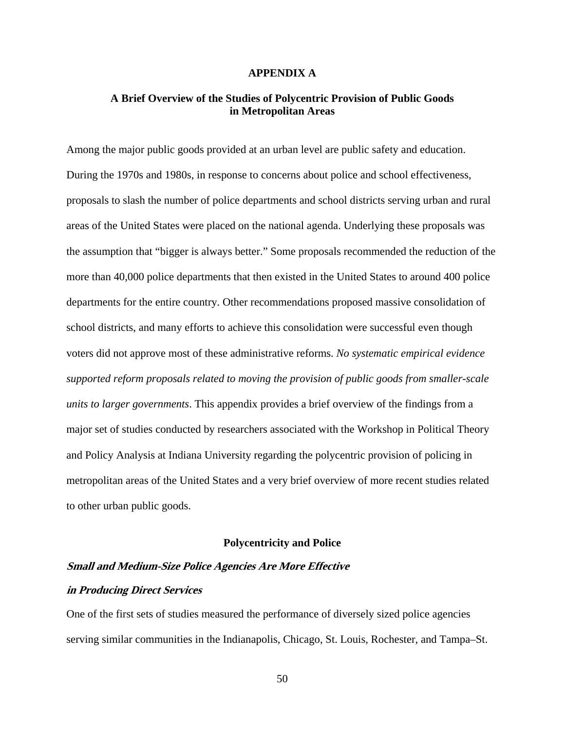#### **APPENDIX A**

#### **A Brief Overview of the Studies of Polycentric Provision of Public Goods in Metropolitan Areas**

Among the major public goods provided at an urban level are public safety and education. During the 1970s and 1980s, in response to concerns about police and school effectiveness, proposals to slash the number of police departments and school districts serving urban and rural areas of the United States were placed on the national agenda. Underlying these proposals was the assumption that "bigger is always better." Some proposals recommended the reduction of the more than 40,000 police departments that then existed in the United States to around 400 police departments for the entire country. Other recommendations proposed massive consolidation of school districts, and many efforts to achieve this consolidation were successful even though voters did not approve most of these administrative reforms. *No systematic empirical evidence supported reform proposals related to moving the provision of public goods from smaller-scale units to larger governments*. This appendix provides a brief overview of the findings from a major set of studies conducted by researchers associated with the Workshop in Political Theory and Policy Analysis at Indiana University regarding the polycentric provision of policing in metropolitan areas of the United States and a very brief overview of more recent studies related to other urban public goods.

#### **Polycentricity and Police**

## **Small and Medium-Size Police Agencies Are More Effective**

#### **in Producing Direct Services**

One of the first sets of studies measured the performance of diversely sized police agencies serving similar communities in the Indianapolis, Chicago, St. Louis, Rochester, and Tampa–St.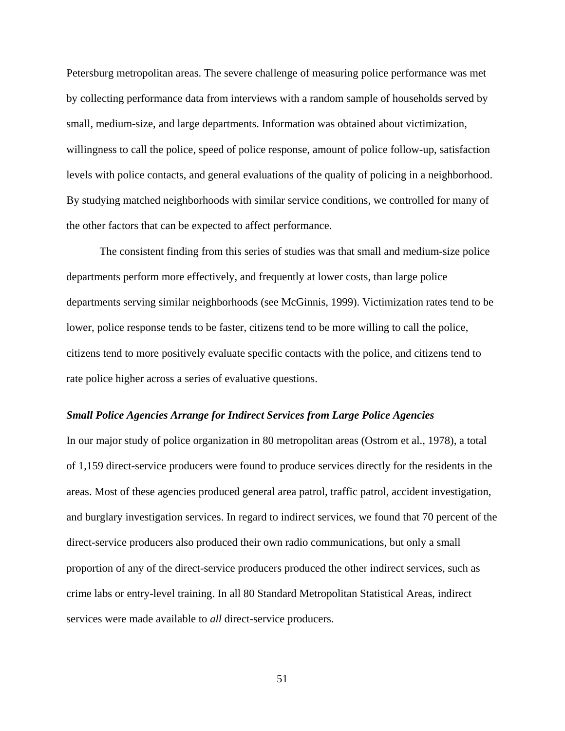Petersburg metropolitan areas. The severe challenge of measuring police performance was met by collecting performance data from interviews with a random sample of households served by small, medium-size, and large departments. Information was obtained about victimization, willingness to call the police, speed of police response, amount of police follow-up, satisfaction levels with police contacts, and general evaluations of the quality of policing in a neighborhood. By studying matched neighborhoods with similar service conditions, we controlled for many of the other factors that can be expected to affect performance.

The consistent finding from this series of studies was that small and medium-size police departments perform more effectively, and frequently at lower costs, than large police departments serving similar neighborhoods (see McGinnis, 1999). Victimization rates tend to be lower, police response tends to be faster, citizens tend to be more willing to call the police, citizens tend to more positively evaluate specific contacts with the police, and citizens tend to rate police higher across a series of evaluative questions.

#### *Small Police Agencies Arrange for Indirect Services from Large Police Agencies*

In our major study of police organization in 80 metropolitan areas (Ostrom et al., 1978), a total of 1,159 direct-service producers were found to produce services directly for the residents in the areas. Most of these agencies produced general area patrol, traffic patrol, accident investigation, and burglary investigation services. In regard to indirect services, we found that 70 percent of the direct-service producers also produced their own radio communications, but only a small proportion of any of the direct-service producers produced the other indirect services, such as crime labs or entry-level training. In all 80 Standard Metropolitan Statistical Areas, indirect services were made available to *all* direct-service producers.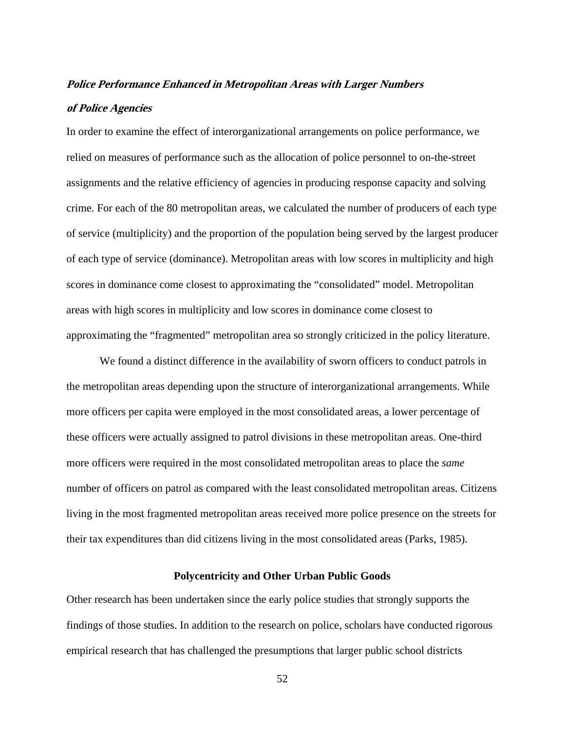#### **Police Performance Enhanced in Metropolitan Areas with Larger Numbers**

#### **of Police Agencies**

In order to examine the effect of interorganizational arrangements on police performance, we relied on measures of performance such as the allocation of police personnel to on-the-street assignments and the relative efficiency of agencies in producing response capacity and solving crime. For each of the 80 metropolitan areas, we calculated the number of producers of each type of service (multiplicity) and the proportion of the population being served by the largest producer of each type of service (dominance). Metropolitan areas with low scores in multiplicity and high scores in dominance come closest to approximating the "consolidated" model. Metropolitan areas with high scores in multiplicity and low scores in dominance come closest to approximating the "fragmented" metropolitan area so strongly criticized in the policy literature.

We found a distinct difference in the availability of sworn officers to conduct patrols in the metropolitan areas depending upon the structure of interorganizational arrangements. While more officers per capita were employed in the most consolidated areas, a lower percentage of these officers were actually assigned to patrol divisions in these metropolitan areas. One-third more officers were required in the most consolidated metropolitan areas to place the *same* number of officers on patrol as compared with the least consolidated metropolitan areas. Citizens living in the most fragmented metropolitan areas received more police presence on the streets for their tax expenditures than did citizens living in the most consolidated areas (Parks, 1985).

#### **Polycentricity and Other Urban Public Goods**

Other research has been undertaken since the early police studies that strongly supports the findings of those studies. In addition to the research on police, scholars have conducted rigorous empirical research that has challenged the presumptions that larger public school districts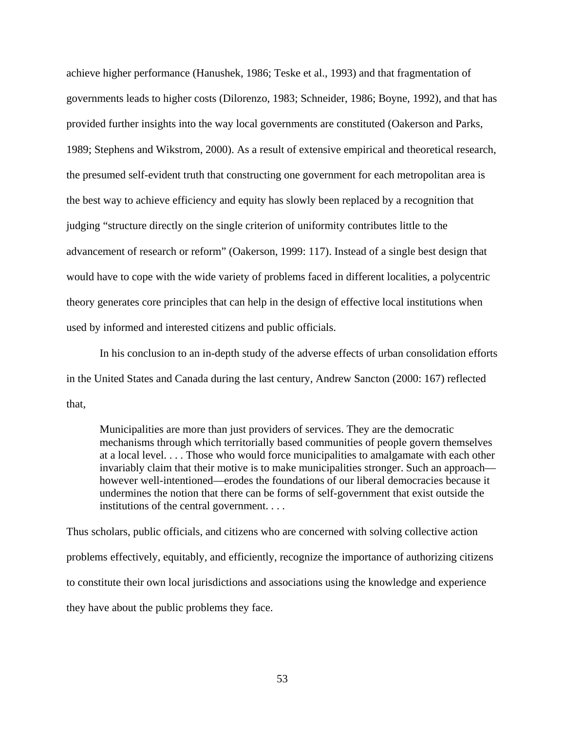achieve higher performance (Hanushek, 1986; Teske et al., 1993) and that fragmentation of governments leads to higher costs (Dilorenzo, 1983; Schneider, 1986; Boyne, 1992), and that has provided further insights into the way local governments are constituted (Oakerson and Parks, 1989; Stephens and Wikstrom, 2000). As a result of extensive empirical and theoretical research, the presumed self-evident truth that constructing one government for each metropolitan area is the best way to achieve efficiency and equity has slowly been replaced by a recognition that judging "structure directly on the single criterion of uniformity contributes little to the advancement of research or reform" (Oakerson, 1999: 117). Instead of a single best design that would have to cope with the wide variety of problems faced in different localities, a polycentric theory generates core principles that can help in the design of effective local institutions when used by informed and interested citizens and public officials.

In his conclusion to an in-depth study of the adverse effects of urban consolidation efforts in the United States and Canada during the last century, Andrew Sancton (2000: 167) reflected that,

Municipalities are more than just providers of services. They are the democratic mechanisms through which territorially based communities of people govern themselves at a local level. . . . Those who would force municipalities to amalgamate with each other invariably claim that their motive is to make municipalities stronger. Such an approach however well-intentioned—erodes the foundations of our liberal democracies because it undermines the notion that there can be forms of self-government that exist outside the institutions of the central government. . . .

Thus scholars, public officials, and citizens who are concerned with solving collective action problems effectively, equitably, and efficiently, recognize the importance of authorizing citizens to constitute their own local jurisdictions and associations using the knowledge and experience they have about the public problems they face.